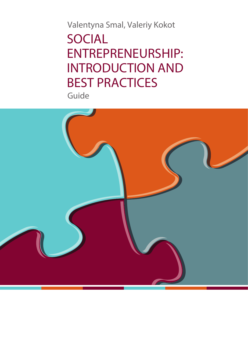SOCIAL ENTREPRENEURSHIP: INTRODUCTION AND BEST PRACTICES Guide Valentyna Smal, Valeriy Kokot

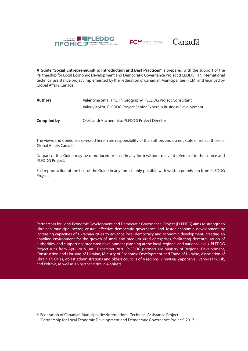





**A Guide "Social Entrepreneurship: Introduction and Best Practices"** is prepared with the support of the Partnership for Local Economic Development and Democratic Governance Project (PLEDDG), an international technical assistance project implemented by the Federation of Canadian Municipalities (FCM) and financed by Global Affairs Canada.

| <b>Authors:</b>    | Valentyna Smal, PhD in Geography, PLEDDG Project Consultant         |
|--------------------|---------------------------------------------------------------------|
|                    | Valeriy Kokot, PLEDDG Project Senior Expert in Business Development |
|                    |                                                                     |
| <b>Compiled by</b> | Oleksandr Kucherenko, PLEDDG Project Director                       |

The views and opinions expressed herein are responsibility of the authors and do not state or reflect those of Global Affairs Canada.

No part of this Guide may be reproduced or used in any form without relevant reference to the source and PLEDDG Project.

Full reproduction of the text of the Guide in any form is only possible with written permission from PLEDDG Project.

Partnership for Local Economic Development and Democratic Governance Project (PLEDDG) aims to strengthen Ukraine's municipal sector, ensure effective democratic governance and foster economic development by increasing capacities of Ukrainian cities to advance local democracy and economic development, creating an enabling environment for the growth of small and medium-sized enterprises, facilitating decentralization of authorities, and supporting integrated development planning at the local, regional and national levels. PLEDDG Project runs from April 2015 until December 2020. PLEDDG partners are Ministry of Regional Development, Construction and Housing of Ukraine, Ministry of Economic Development and Trade of Ukraine, Association of Ukrainian Cities, oblast administrations and oblast councils of 4 regions: Vinnytsia, Zaporizhia, Ivano-Frankivsk, and Poltava, as well as 16 partner cities in 4 oblasts.

© Federation of Canadian Municipalities/International Technical Assistance Project "Partnership for Local Economic Development and Democratic Governance Project", 2017.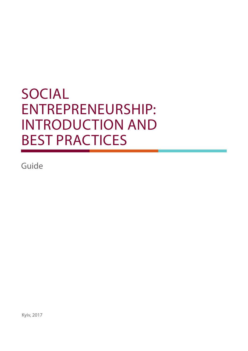### SOCIAL ENTREPRENEURSHIP: INTRODUCTION AND BEST PRACTICES

Guide

Kyiv, 2017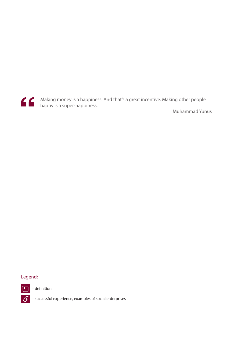Making money is a happiness. And that's a great incentive. Making other people happy is a super-happiness.

Muhammad Yunus

#### Legend:



– successful experience, examples of social enterprises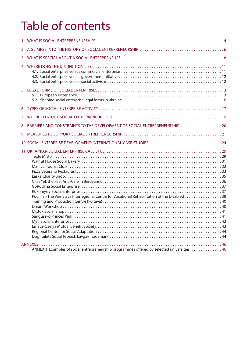### Table of contents

| 8. BARRIERS AND CONSTRAINTS TO THE DEVELOPMENT OF SOCIAL ENTREPRENEURSHIP20                                    |  |
|----------------------------------------------------------------------------------------------------------------|--|
|                                                                                                                |  |
|                                                                                                                |  |
| Podillia - The Vinnytsya Interregional Centre for Vocational Rehabilitation of the Disabled 38                 |  |
| <b>ANNEXES</b><br>ANNEX 1. Examples of social entrepreneurship programmes offered by selected universities  46 |  |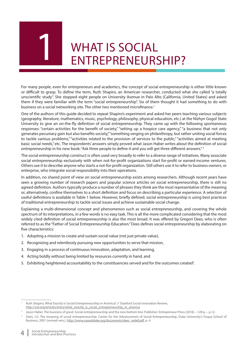

# WHAT IS SOCIAL<br>ENTREPRENEURSHIP?

For many people, even for entrepreneurs and academics, the concept of social entrepreneurship is either little known or difficult to grasp. To define the term, Ruth Shapiro, an American researcher, conducted what she called "a totally unscientific study". She stopped eight people on University Avenue in Palo Alto (California, United States) and asked them if they were familiar with the term "social entrepreneurship". Six of them thought it had something to do with business on a social networking site. The other two mentioned microfinance.<sup>1</sup>

One of the authors of this guide decided to repeat Shapiro's experiment and asked her peers teaching various subjects (geography, literature, mathematics, music, psychology, philosophy, physical education, etc.) at the Nizhyn Gogol State University to give an on-the-fly definition of social entrepreneurship. They came up with the following spontaneous responses: "certain activities for the benefit of society," "setting up a hospice care agency," "a business that not only generates pecuniary gain but also benefits society," "something verging on philanthropy, but rather uniting social forces to tackle various problems," "activities related to the provision of services to the public," "activities aimed at meeting basic social needs," etc. The respondents' answers simply proved what Jason Haber writes about the definition of social entrepreneurship in his new book: "Ask three people to define it and you will get three different answers."<sup>2</sup>

The social entrepreneurship construct is often used very broadly to refer to a diverse range of initiatives. Many associate social entrepreneurship exclusively with when not-for-profit organizations start for-profit or earned-income ventures. Others use it to describe anyone who starts a not-for-profi t organization. Still others use it to refer to business owners, or enterprise, who integrate social responsibility into their operations.

In addition, no shared point of view on social entrepreneurship exists among researchers. Although recent years have seen a growing number of research papers and popular science articles on social entrepreneurship, there is still no agreed definition. Authors typically produce a number of phrases they think are the most representative of the meaning or, alternatively, confine themselves to a short definition and focus on describing a particular experience. A selection of useful definitions is available in Table 1 below. However, briefly defined, social entrepreneurship is using best practices of traditional entrepreneurship to tackle social issues and achieve sustainable social change.

Explaining a multi-dimensional concept and phenomenon such as social entrepreneurship, and covering the whole spectrum of its interpretations, in a few words is no easy task. This is all the more complicated considering that the most widely cited definition of social entrepreneurship is also the most broad. It was offered by Gregori Dees, who is often referred to as the "Father of Social Entrepreneurship Education." Dees defines social entrepreneurship by elaborating on five characteristics:

- 1. Adopting a mission to create and sustain social value (not just private value),
- 2. Recognizing and relentlessly pursuing new opportunities to serve that mission,
- 3. Engaging in a process of continuous innovation, adaptation, and learning,
- 4. Acting boldly without being limited by resources currently in hand, and
- 5. Exhibiting heightened accountability to the constituencies served and for the outcomes created<sup>3</sup>.

<sup>1</sup> Ruth Shapiro. What Exactly Is Social Entrepreneurship in America? // Stanford Social Innovation Review, http://ssir.org/articles/entry/what\_exactly\_is\_social\_entrepreneurship\_in\_america

<sup>2</sup> Jason Haber. The business of good. Social entrepreneurship and the new bottom line. Publisher: Entrepreneur Press (2016). –128 p. – p.12.

<sup>3</sup> Dees, J.G. The meaning of social entrepreneurship. Center for the Advancement of Social Entrepreneurship, Duke University's Fuqua School of Business, 2001 (revised vers.), http://www.caseatduke.org/documents/dees\_sedef.pdf, p. 4.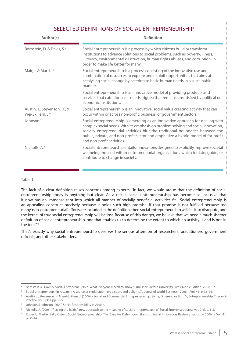#### SELECTED DEFINITIONS OF SOCIAL ENTREPRENEURSHIP

| Author(s)                                                     | <b>Definition</b>                                                                                                                                                                                                                                                                                                                                                         |
|---------------------------------------------------------------|---------------------------------------------------------------------------------------------------------------------------------------------------------------------------------------------------------------------------------------------------------------------------------------------------------------------------------------------------------------------------|
| Bornstein, D. & Davis, S. <sup>4</sup>                        | Social entrepreneurship is a process by which citizens build or transform<br>institutions to advance solutions to social problems, such as poverty, illness,<br>illiteracy, environmental destruction, human rights abuses, and corruption, in<br>order to make life better for many.                                                                                     |
| Mair, J. & Marti, $I^5$                                       | Social entrepreneurship is a process consisting of the innovative use and<br>combination of resources to explore and exploit opportunities that aims at<br>catalysing social change by catering to basic human needs in a sustainable<br>manner.                                                                                                                          |
|                                                               | Social entrepreneurship is an innovative model of providing products and<br>services that cater for basic needs (rights) that remains unsatisfied by political or<br>economic institutions.                                                                                                                                                                               |
| Austin, J., Stevenson. H., &<br>Wei-Skillern, J. <sup>6</sup> | Social entrepreneurship is an innovative, social value creating activity that can<br>occur within or across non-profit, business, or government sectors.                                                                                                                                                                                                                  |
| Johnson <sup>7</sup>                                          | Social entrepreneurship is emerging as an innovative approach for dealing with<br>complex social needs. With its emphasis on problem solving and social innovation,<br>socially entrepreneurial activities blur the traditional boundaries between the<br>public, private, and non-profit sector and emphasize a hybrid model of for-profit<br>and non-profit activities. |
| Nicholls, A. <sup>8</sup>                                     | Social entrepreneurship entails innovations designed to explicitly improve societal<br>wellbeing, housed within entrepreneurial organizations which initiate, guide, or<br>contribute to change in society.                                                                                                                                                               |
|                                                               |                                                                                                                                                                                                                                                                                                                                                                           |

Table 1.

The lack of a clear definition raises concerns among experts: "In fact, we would argue that the definition of social entrepreneurship today is anything but clear. As a result, social entrepreneurship has become so inclusive that it now has an immense tent into which all manner of socially beneficial activities fit...Social entrepreneurship is an appealing construct precisely because it holds such high promise. If that promise is not fulfilled because too many 'non-entrepreneurial' efforts are included in the definition, then social entrepreneurship will fall into disrepute, and the kernel of true social entrepreneurship will be lost. Because of this danger, we believe that we need a much sharper definition of social entrepreneurship, one that enables us to determine the extent to which an activity is and is not 'in the tent.'"9

That's exactly why social entrepreneurship deserves the serious attention of researchers, practitioners, government officials, and other stakeholders.

<sup>4</sup> Bornstein D., Davis S. Social Entrepreneurship: What Everyone Needs to Know? Publisher: Oxford University Press. Kindle Edition, 2010. – p.1.

<sup>5</sup> Social entrepreneurship research: A source of explanation, prediction, and delight // Journal of World Business.–2006. – Vol. 41, p. 36-44.

<sup>6</sup> Austin, J., Stevenson, H. & Wei-Skillern, J. (2006), «Social and Commercial Entrepreneurship: Same, Different, or Both?», Entrepreneurship: Theory & Practice, vol. 30(1), pp. 1-22.

<sup>7</sup> Johnson & Johnson (2000) Social Responsibility in Action.

<sup>8</sup> Nicholls, A. (2006). "Playing the field: A new approach to the meaning of social entrepreneurship" Social Enterprise Journal vol. 2(1), p. 1-5.

<sup>9</sup> Roger L. Martin, Sally Osberg.Social Entrepreneurship: The Case for Definition// Stanford Social Innovation Review / spring. - 2006. - Vol. 41, p. 36-44.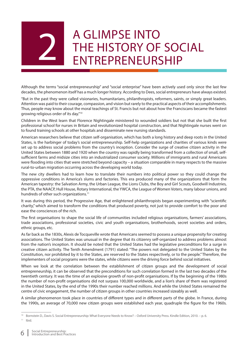## A GLIMPSE INTO THE HISTORY OF SOCIAL<br>ENTREPRENEURSHIP

Although the terms "social entrepreneurship" and "social enterprise" have been actively used only since the last few decades, the phenomenon itself has a much longer history. According to Dees, social entrepreneurs have always existed.

"But in the past they were called visionaries, humanitarians, philanthropists, reformers, saints, or simply great leaders. Attention was paid to their courage, compassion, and vision but rarely to the practical aspects of their accomplishments. Thus, people may know about the moral teachings of St. Francis but not about how the Franciscans became the fastest growing religious order of its day."10

Children in the West learn that Florence Nightingale ministered to wounded soldiers but not that she built the first professional school for nurses in Britain and revolutionized hospital construction, and that Nightingale nurses went on to found training schools at other hospitals and disseminate new nursing standards.

American researchers believe that citizen self-organisation, which has both a long history and deep roots in the United States, is the harbinger of today's social entrepreneurship. Self-help organizations and charities of various kinds were set up to address social problems from the country's inception. Consider the surge of creative citizen activity in the United States between 1880 and 1920 when the country was rapidly being transformed from a collection of small, selfsufficient farms and midsize cities into an industrialized consumer society. Millions of immigrants and rural Americans were flooding into cities that were stretched beyond capacity – a situation comparable in many respects to the massive rural-to-urban migration occurring across the developing world today.

The new city dwellers had to learn how to translate their numbers into political power so they could change the oppressive conditions in America's slums and factories. This era produced many of the organizations that form the American tapestry: the Salvation Army, the Urban League, the Lions Clubs, the Boy and Girl Scouts, Goodwill Industries, the PTA, the NAACP, Hull House, Rotary International, the YWCA, the League of Women Voters, many labour unions, and hundreds of other such organizations.<sup>11</sup>

It was during this period, the Progressive Age, that enlightened philanthropists began experimenting with "scientific charity," which aimed to transform the conditions that produced poverty, not just to provide comfort to the poor and ease the consciences of the rich.

The first organisations to shape the social life of communities included religious organisations, farmers' associations, trade associations, professional societies, civic and youth organisations, brotherhoods, secret societies and orders, ethnic groups, etc.

As far back as the 1830s, Alexis de Tocqueville wrote that Americans seemed to possess a unique propensity for creating associations. The United States was unusual in the degree that its citizenry self-organized to address problems almost from the nation's inception. It should be noted that the United States had the legislative preconditions for a surge in creative citizen activity. The Tenth Amendment (1791) stated: "The powers not delegated to the United States by the Constitution, nor prohibited by it to the States, are reserved to the States respectively, or to the people." Therefore, the implementers of social programs were the states, while citizens were the driving force behind social initiatives.

When we look at the correlation between the establishment of citizen groups and the development of social entrepreneurship, it can be observed that the preconditions for such correlation formed in the last two decades of the twentieth century. It was the time of an explosive growth of non-profit organisations. If by the beginning of the 1980s the number of non-profi t organisations did not surpass 100,000 worldwide, and a lion's share of them was registered in the United States, by the end of the 1990s their number reached millions. And while the United States remained the centre of civic engagement, the number of citizen groups in other countries increased sizeably as well.

A similar phenomenon took place in countries of different types and in different parts of the globe. In France, during the 1990s, an average of 70,000 new citizen groups were established each year, quadruple the figure for the 1960s.

<sup>&</sup>lt;sup>10</sup> Bornstein D., Davis S. Social Entrepreneurship: What Everyone Needs to Know? – Oxford University Press. Kindle Edition, 2010. – p. 6.  $11$  Ibid.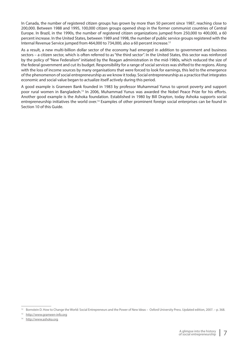In Canada, the number of registered citizen groups has grown by more than 50 percent since 1987, reaching close to 200,000. Between 1988 and 1995, 100,000 citizen groups opened shop in the former communist countries of Central Europe. In Brazil, in the 1990s, the number of registered citizen organizations jumped from 250,000 to 400,000, a 60 percent increase. In the United States, between 1989 and 1998, the number of public service groups registered with the Internal Revenue Service jumped from 464,000 to 734,000, also a 60 percent increase.12

As a result, a new multi-billion dollar sector of the economy had emerged in addition to government and business sectors – a citizen sector, which is often referred to as "the third sector". In the United States, this sector was reinforced by the policy of "New Federalism" initiated by the Reagan administration in the mid-1980s, which reduced the size of the federal government and cut its budget. Responsibility for a range of social services was shifted to the regions. Along with the loss of income sources by many organisations that were forced to look for earnings, this led to the emergence of the phenomenon of social entrepreneurship as we know it today. Social entrepreneurship as a practice that integrates economic and social value began to actualize itself actively during this period.

A good example is Grameen Bank founded in 1983 by professor Muhammad Yunus to uproot poverty and support poor rural women in Bangladesh.<sup>13</sup> In 2006, Muhammad Yunus was awarded the Nobel Peace Prize for his efforts. Another good example is the Ashoka foundation. Established in 1980 by Bill Drayton, today Ashoka supports social entrepreneurship initiatives the world over.14 Examples of other prominent foreign social enterprises can be found in Section 10 of this Guide.

<sup>&</sup>lt;sup>12</sup> Bornstein D. How to Change the World: Social Entrepreneurs and the Power of New Ideas – Oxford University Press. Updated edition, 2007. - p. 368.

<sup>13</sup> http://www.grameen-info.org

<sup>14</sup> http://www.ashoka.org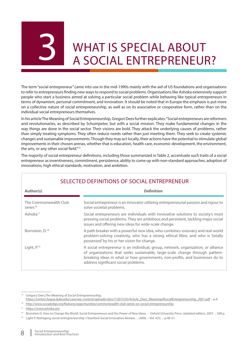# WHAT IS SPECIAL ABOUT<br>A SOCIAL ENTREPRENEUR?

The term "social entrepreneur" came into use in the mid-1990s mainly with the aid of US foundations and organisations to refer to entrepreneurs finding new ways to respond to social problems. Organisations like Ashoka extensively support people who start a business aimed at solving a particular social problem while behaving like typical entrepreneurs in terms of dynamism, personal commitment, and innovation. It should be noted that in Europe the emphasis is put more on a collective nature of social entrepreneurship, as well as on its associative or cooperative form, rather than on the individual social entrepreneurs themselves.

In his article The Meaning of Social Entrepreneurship, Gregori Dees further explicates: "Social entrepreneurs are reformers and revolutionaries, as described by Schumpeter, but with a social mission. They make fundamental changes in the way things are done in the social sector. Their visions are bold. They attack the underlying causes of problems, rather than simply treating symptoms. They often reduce needs rather than just meeting them. They seek to create systemic changes and sustainable improvements. Though they may act locally, their actions have the potential to stimulate global improvements in their chosen arenas, whether that is education, health care, economic development, the environment, the arts, or any other social field."<sup>15</sup>

The majority of social entrepreneur definitions, including those summarized in Table 2, accentuate such traits of a social entrepreneur as inventiveness, commitment, persistence, ability to come up with non-standard approaches, adoption of innovations, high ethical standards, motivation, and ambition.

| SELECTED DEFINITIONS OF SOCIAL ENTREPRENEUR   |                                                                                                                                                                                                                                                                                           |  |
|-----------------------------------------------|-------------------------------------------------------------------------------------------------------------------------------------------------------------------------------------------------------------------------------------------------------------------------------------------|--|
| Author(s)                                     | <b>Definition</b>                                                                                                                                                                                                                                                                         |  |
| The Commonwealth Club<br>series <sup>16</sup> | Social entrepreneur is an innovator utilizing entrepreneurial passion and rigour to<br>solve societal problems.                                                                                                                                                                           |  |
| Ashoka <sup>17</sup>                          | Social entrepreneurs are individuals with innovative solutions to society's most<br>pressing social problems. They are ambitious and persistent, tackling major social<br>issues and offering new ideas for wide-scale change.                                                            |  |
| Bornstein, D. <sup>18</sup>                   | A path breaker with a powerful new idea, who combines visionary and real-world<br>problem-solving creativity, who has a strong ethical fibre, and who is 'totally<br>possessed' by his or her vision for change.                                                                          |  |
| Light, $P^{19}$                               | A social entrepreneur is an individual, group, network, organization, or alliance<br>of organizations that seeks sustainable, large-scale change through pattern-<br>breaking ideas in what or how governments, non-profits, and businesses do to<br>address significant social problems. |  |

<sup>15</sup> Gregory Dees,The Meaning of Social Entrepreneurship,

https://centers.fuqua.duke.edu/case/wp-content/uploads/sites/7/2015/03/Article\_Dees\_MeaningofSocialEntrepreneurship\_2001.pdf – p.4.

<sup>16</sup> http://www.socialedge.org/features/opportunities/commonwealth-club-series-on-social-entrepreneurship

<sup>17</sup> https://www.ashoka.org

<sup>18</sup> Bornstein D. How to Change the World: Social Entrepreneurs and the Power of New Ideas. – Oxford University Press. Updated edition, 2007. – 368 p.

<sup>19</sup> Light P. Reshaping social entrepreneurship //Stanford Social Innovation Review, . –2006. – Vol. 4(3). – p.46-51.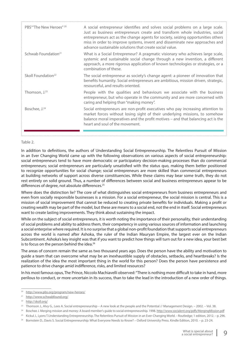| PBS'"The New Heroes" <sup>20</sup> | A social entrepreneur identifies and solves social problems on a large scale.<br>Just as business entrepreneurs create and transform whole industries, social<br>entrepreneurs act as the change agents for society, seizing opportunities others<br>miss in order to improve systems, invent and disseminate new approaches and<br>advance sustainable solutions that create social value. |
|------------------------------------|---------------------------------------------------------------------------------------------------------------------------------------------------------------------------------------------------------------------------------------------------------------------------------------------------------------------------------------------------------------------------------------------|
| Schwab Foundation <sup>21</sup>    | What is a Social Entrepreneur? A pragmatic visionary who achieves large scale,<br>systemic and sustainable social change through a new invention, a different<br>approach, a more rigorous application of known technologies or strategies, or a<br>combination of these.                                                                                                                   |
| Skoll Foundation <sup>22</sup>     | The social entrepreneur as society's change agent: a pioneer of innovation that<br>benefits humanity. Social entrepreneurs are ambitious, mission driven, strategic,<br>resourceful, and results oriented.                                                                                                                                                                                  |
| Thomson, $J^{23}$                  | People with the qualities and behaviours we associate with the business<br>entrepreneur, but who operate in the community and are more concerned with<br>caring and helping than "making money".                                                                                                                                                                                            |
| Boschee, J. <sup>24</sup>          | Social entrepreneurs are non-profit executives who pay increasing attention to<br>market forces without losing sight of their underlying missions, to somehow<br>balance moral imperatives and the profit motives - and that balancing act is the<br>heart and soul of the movement.                                                                                                        |

#### Table 2.

In addition to definitions, the authors of Understanding Social Entrepreneurship. The Relentless Pursuit of Mission in an Ever Changing World came up with the following observations on various aspects of social entrepreneurship: social entrepreneurs tend to have more democratic or participatory decision-making processes than do commercial entrepreneurs; social entrepreneurs are particularly unsatisfied with the status quo, making them better positioned to recognize opportunities for social change; social entrepreneurs are more skilled than commercial entrepreneurs at building networks of support across diverse constituencies. While these claims may bear some truth, they do not rest entirely on solid ground. Thus, a number of differences between social and business entrepreneurs appear to be differences of degree, not absolute differences.<sup>25</sup>

Where does the distinction lie? The core of what distinguishes social entrepreneurs from business entrepreneurs and even from socially responsible businesses is a mission. For a social entrepreneur, the social mission is central. This is a mission of social improvement that cannot be reduced to creating private benefits for individuals. Making a profit or creating wealth may be part of the model, but these are means to a social end, not the end in itself. Social entrepreneurs want to create lasting improvements. They think about sustaining the impact.

While on the subject of social entrepreneurs, it is worth noting the importance of their personality, their understanding of social problems and ability to address them, their competency in using various sources of information and launching a social enterprise where required. It is no surprise that a global non-profi t foundation that supports social entrepreneurs across the world is named after Ashoka, the ruler of the Indian Mauryan Empire, the largest ever on the Indian Subcontinent. Ashoka's key insight was that if you want to predict how things will turn out for a new idea, your best bet is to focus on the person behind the idea.<sup>26</sup>

The areas of concern remain the same as two thousand years ago. Does the person have the ability and motivation to guide a team that can overcome what may be an inexhaustible supply of obstacles, setbacks, and heartbreaks? Is the realization of the idea the most important thing in the world for this person? Does the person have persistence and patience to drive change amid indifference, risks, and limited resources?

In his most famous opus. The Prince, Niccolo Machiavelli observed: "There is nothing more difficult to take in hand, more perilous to conduct, or more uncertain in its success, than to take the lead in the introduction of a new order of things.

<sup>20</sup> http://www.pbs.org/program/new-heroes/

<sup>21</sup> http://www.schwabfound.org/

<sup>22</sup> http://skoll.org/

<sup>&</sup>lt;sup>23</sup> Thomson J., Alvy G., Lees A. Social entrepreneurship – A new look at the people and the Potential // Management Design. – 2002. – Vol. 38.

Boschee J. Merging mission and money: A board member's guide to social entrepreneurship. 1998. http://www.socialent.org/pdfs/MergingMission.pdf

<sup>25</sup> Kickul J., Lyons T.Understanding Entrepreneurship. The Relentless Pursuit of Mission in an Ever-Changing World. – Routledge; 1 edition, 2012. – p. 296.

<sup>26</sup> Bornstein D., Davis S. Social Entrepreneurship: What Everyone Needs to Know? – Oxford University Press. Kindle Edition, 2010. – p. 23-24.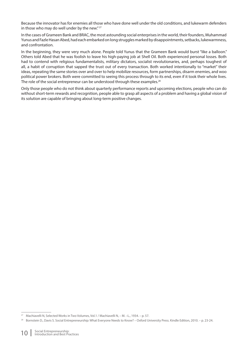Because the innovator has for enemies all those who have done well under the old conditions, and lukewarm defenders in those who may do well under by the new."<sup>27</sup>

In the cases of Grameen Bank and BRAC, the most astounding social enterprises in the world, their founders, Muhammad Yunus and Fazle Hasan Abed, had each embarked on long struggles marked by disappointments, setbacks, lukewarmness, and confrontation.

In the beginning, they were very much alone. People told Yunus that the Grameen Bank would burst "like a balloon." Others told Abed that he was foolish to leave his high-paying job at Shell Oil. Both experienced personal losses. Both had to contend with religious fundamentalists, military dictators, socialist revolutionaries, and, perhaps toughest of all, a habit of corruption that sapped the trust out of every transaction. Both worked intentionally to "market" their ideas, repeating the same stories over and over to help mobilize resources, form partnerships, disarm enemies, and woo political power brokers. Both were committed to seeing this process through to its end, even if it took their whole lives. The role of the social entrepreneur can be understood through these examples.<sup>28</sup>

Only those people who do not think about quarterly performance reports and upcoming elections, people who can do without short-term rewards and recognition, people able to grasp all aspects of a problem and having a global vision of its solution are capable of bringing about long-term positive changes.

<sup>&</sup>lt;sup>27</sup> Machiavelli N, Selected Works in Two Volumes, Vol.1 / Machiavelli N, - M. -L., 1934. - p. 57.

<sup>28</sup> Bornstein D., Davis S. Social Entrepreneurship: What Everyone Needs to Know? – Oxford University Press. Kindle Edition, 2010. – p. 23-24.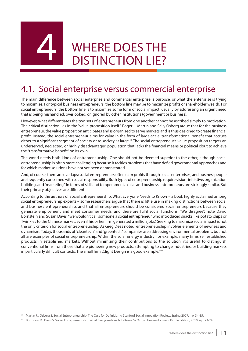WHERE DOES THE DISTINCTION LIE?

#### 4.1. Social enterprise versus commercial enterprise

The main difference between social enterprise and commercial enterprise is purpose, or what the enterprise is trying to maximize. For typical business entrepreneurs, the bottom line may be to maximize profits or shareholder wealth. For social entrepreneurs, the bottom line is to maximize some form of social impact, usually by addressing an urgent need that is being mishandled, overlooked, or ignored by other institutions (government or business).

However, what differentiates the two sets of entrepreneurs from one another cannot be ascribed simply to motivation. The critical distinction lies in the "value proposition itself". Roger L. Martin and Sally Osberg argue that for the business entrepreneur, the value proposition anticipates and is organized to serve markets and is thus designed to create financial profit. Instead, the social entrepreneur aims for value in the form of large-scale, transformational benefit that accrues either to a significant segment of society or to society at large.<sup>29</sup> The social entrepreneur's value proposition targets an underserved, neglected, or highly disadvantaged population that lacks the financial means or political clout to achieve the "transformative benefit" on its own.

The world needs both kinds of entrepreneurship. One should not be deemed superior to the other, although social entrepreneurship is often more challenging because it tackles problems that have defied governmental approaches and for which market solutions have not yet been demonstrated.

And, of course, there are overlaps: social entrepreneurs often earn profits through social enterprises, and businesspeople are frequently concerned with social responsibility. Both types of entrepreneurship require vision, initiative, organization building, and "marketing." In terms of skill and temperament, social and business entrepreneurs are strikingly similar. But their primary objectives are different.

According to the authors of Social Entrepreneurship: What Everyone Needs to Know? – a book highly acclaimed among social entrepreneurship experts – some researchers argue that there is little use in making distinctions between social and business entrepreneurship, and that all entrepreneurs should be considered social entrepreneurs because they generate employment and meet consumer needs, and therefore fulfi l social functions. "We disagree", note David Bornstein and Susan Davis, "we wouldn't call someone a social entrepreneur who introduced snacks like potato chips or Twinkies to the Chinese market, even if his or her firm generated a million jobs." Seeking to maximize social impact is not the only criterion for social entrepreneurship. As Greg Dees noted, entrepreneurship involves elements of newness and dynamism. Today, thousands of "cleantech" and "greentech" companies are addressing environmental problems, but not all are examples of social entrepreneurship. Within the solar energy industry, for example, many firms sell established products in established markets. Without minimizing their contributions to the solution, it's useful to distinguish conventional firms from those that are pioneering new products, attempting to change industries, or building markets in particularly difficult contexts. The small firm D.light Design is a good example." $30$ 

<sup>&</sup>lt;sup>29</sup> Martin R., Osberg S. Social Entrepreneurship: The Case for Definition // Stanford Social Innovation Review, Spring 2007. – p. 34-35.

<sup>&</sup>lt;sup>30</sup> Bornstein D., Davis S. Social Entrepreneurship: What Everyone Needs to Know? – Oxford University Press. Kindle Edition, 2010. – p. 23-24.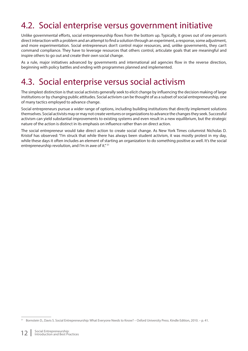#### 4.2. Social enterprise versus government initiative

Unlike governmental efforts, social entrepreneurship flows from the bottom up. Typically, it grows out of one person's direct interaction with a problem and an attempt to find a solution through an experiment, a response, some adjustment, and more experimentation. Social entrepreneurs don't control major resources, and, unlike governments, they can't command compliance. They have to leverage resources that others control, articulate goals that are meaningful and inspire others to go out and create their own social change.

As a rule, major initiatives advanced by governments and international aid agencies flow in the reverse direction, beginning with policy battles and ending with programmes planned and implemented.

#### 4.3. Social enterprise versus social activism

The simplest distinction is that social activists generally seek to elicit change by influencing the decision making of large institutions or by changing public attitudes. Social activism can be thought of as a subset of social entrepreneurship, one of many tactics employed to advance change.

Social entrepreneurs pursue a wider range of options, including building institutions that directly implement solutions themselves. Social activists may or may not create ventures or organizations to advance the changes they seek. Successful activism can yield substantial improvements to existing systems and even result in a new equilibrium, but the strategic nature of the action is distinct in its emphasis on influence rather than on direct action.

The social entrepreneur would take direct action to create social change. As New York Times columnist Nicholas D. Kristof has observed: "I'm struck that while there has always been student activism, it was mostly protest in my day, while these days it often includes an element of starting an organization to do something positive as well. It's the social entrepreneurship revolution, and I'm in awe of it." 31

<sup>31</sup> Bornstein D., Davis S. Social Entrepreneurship: What Everyone Needs to Know? – Oxford University Press. Kindle Edition, 2010. – p. 41.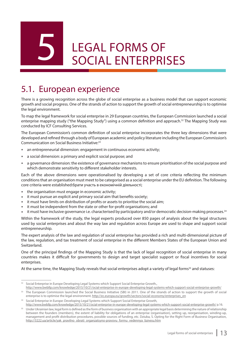# LEGAL FORMS OF<br>SOCIAL ENTERPRISES

#### 5.1. European experience

There is a growing recognition across the globe of social enterprise as a business model that can support economic growth and social progress. One of the strands of action to support the growth of social entrepreneurship is to optimise the legal environment.

To map the legal framework for social enterprise in 29 European countries, the European Commission launched a social enterprise mapping study ("the Mapping Study") using a common definition and approach.<sup>32</sup> The Mapping Study was conducted by ICF Consulting Services.

The European Commission's common definition of social enterprise incorporates the three key dimensions that were developed and refined through a body of European academic and policy literature including the European Commission's Communication on Social Business Initiative:<sup>33</sup>

- an entrepreneurial dimension: engagement in continuous economic activity;
- a social dimension: a primary and explicit social purpose; and
- a governance dimension: the existence of governance mechanisms to ensure prioritisation of the social purpose and which demonstrate sensitivity to different stakeholder interests.

Each of the above dimensions were operationalised by developing a set of core criteria reflecting the minimum conditions that an organisation must meet to be categorised as a social enterprise under the EU definition. The following core criteria were established:брати участь в економічній діяльності;

- the organisation must engage in economic activity;
- $\blacksquare$  it must pursue an explicit and primary social aim that benefits society;
- **image is not invieled in the solution of profits or assets to prioritise the social aim;**
- it must be independent from the state or other for-profit organisations; and
- it must have inclusive governance i.e. characterised by participatory and/or democratic decision-making processes.<sup>34</sup>

Within the framework of the study, the legal experts produced over 850 pages of analysis about the legal structures used by social enterprises and about the way law and regulation across Europe are used to shape and support social entrepreneurship.

The expert analysis of the law and regulation of social enterprise has provided a rich and multi-dimensional picture of the law, regulation, and tax treatment of social enterprise in the different Members States of the European Union and Switzerland.

One of the principal findings of the Mapping Study is that the lack of legal recognition of social enterprise in many countries makes it difficult for governments to design and target specialist support or fiscal incentives for social enterprises.

At the same time, the Mapping Study reveals that social enterprises adopt a variety of legal forms<sup>35</sup> and statuses:

<sup>&</sup>lt;sup>32</sup> Social Enterprise in Europe Developing Legal Systems which Support Social Enterprise Growth.,

http://www.bwbllp.com/knowledge/2015/10/21/ocial-enterprise-in-europe-developing-legal-systems-which-support-social-enterprise-growth/ The European Commission launched the Social Business Initiative (SBI) in 2011. One of the strands of action to support the growth of social enterprise is to optimise the legal environment. http://ec.europa.eu/growth/sectors/social-economy/enterprises\_en

<sup>&</sup>lt;sup>34</sup> Social Enterprise in Europe: Developing Legal Systems which Support Social Enterprise Growth,

http://www.bwbllp.com/knowledge/2015/10/21/ocial-enterprise-in-europe-developing-legal-systems-which-support-social-enterprise-growth/ p.16. <sup>35</sup> Under Ukrainian law, legal form is defined as the form of business organisation with an appropriate legal basis determining the nature of relationship between the founders (members), the extent of liability for obligations of an enterprise (organisation), setting up, reorganisation, winding-up, management and profi t distribution procedures, possible sources of funding, etc. Dziuba, S. Opting for the Right Form of Business Organisation, http://3222.ua/article/yak\_pravilno\_obrati\_organzatsyno-pravovu\_formu\_vedennya\_bznesu.htm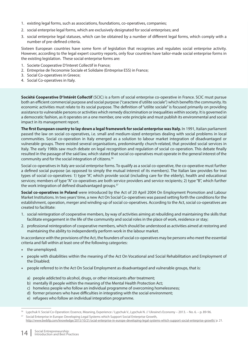- 1. existing legal forms, such as associations, foundations, co-operatives, companies;
- 2. social enterprise legal forms, which are exclusively designated for social enterprises; and
- 3. social enterprise legal statuses, which can be obtained by a number of different legal forms, which comply with a number of pre-defined criteria.

Sixteen European countries have some form of legislation that recognises and regulates social enterprise activity. However, according to the legal expert country reports, only four countries have tailor-made social enterprise forms in the existing legislation. These social enterprise forms are:

- 1. Societe Cooperative D'Interet Collectif in France;
- 2. Entreprise de l'economie Sociale et Solidaire (Entreprise ESS) in France;
- 3. Social Co-operatives in Greece;
- 4. Social Co-operatives in Italy.

**Société Cooperative D'Intérêt Collectif** (SCIC) is a form of social enterprise co-operative in France. SCIC must pursue both an efficient commercial purpose and social purpose ("caractere d'utilite sociale") which benefits the community. Its economic activities must relate to its social purpose. The definition of "utilite sociale" is focused primarily on providing assistance to vulnerable persons or activities which remedy discrimination or inequalities within society. It is governed in a democratic fashion, as it operates on a one member, one vote principle and must publish its environmental and social impact in its management report.

The first European country to lay down a legal framework for social enterprise was Italy. In 1991, Italian parliament passed the law on social co-operatives, i.e. small and medium-sized enterprises dealing with social problems in local communities. Social co-operation in Italy emerged as a solution to labour market integration of disadvantaged or vulnerable groups. There existed several organisations, predominantly church-related, that provided social services in Italy. The early 1980s saw much debate on legal recognition and regulation of social co-operation. This debate finally resulted in the passage of the said law, which stated that social co-operatives must operate in the general interest of the community and for the social integration of citizens.36

Social co-operatives in Italy are social enterprise forms. To qualify as a social co-operative, the co-operative must further a defined social purpose (as opposed to simply the mutual interest of its members). The Italian law provides for two types of social co-operatives: 1) type "A", which provide social (including care for the elderly), health and educational services; members of type "A" co-operatives are both service providers and service recipients; 2) type "B", which further the work integration of defined disadvantaged groups.<sup>37</sup>

**Social co-operatives in Poland** were introduced by the Act of 20 April 2004 On Employment Promotion and Labour Market Institutions. In two years' time, a new Act On Social Co-operatives was passed setting forth the conditions for the establishment, operation, merger and winding-up of social co-operatives. According to the Act, social co-operatives are created to facilitate:

- 1. social reintegration of cooperative members, by way of activities aiming at rebuilding and maintaining the skills that facilitate engagement in the life of the community and social roles in the place of work, residence or stay;
- 2. professional reintegration of cooperative members, which should be understood as activities aimed at restoring and maintaining the ability to independently perform work in the labour market.

In accordance with the provisions of the Act, the founders of social co-operatives may be persons who meet the essential criteria and fall within at least one of the following categories:

- the unemployed;
- people with disabilities within the meaning of the Act On Vocational and Social Rehabilitation and Employment of the Disabled;
- **PEOPE** referred to in the Act On Social Employment as disadvantaged and vulnerable groups, that is:
	- a) people addicted to alcohol, drugs, or other intoxicants after treatment;
	- b) mentally ill people within the meaning of the Mental Health Protection Act;
	- c) homeless people who follow an individual programme of overcoming homelessness;
	- d) former prisoners who have difficulties in integrating with the social environment;
	- e) refugees who follow an individual integration programme.

<sup>36</sup> Lypchuk V. Social Co-Operation: Essence, Meaning, Experience / Lypchuk V., Lypchuk N. // Ukraine's Economy – 2013. – No. 6. – p. 89-96.

<sup>&</sup>lt;sup>37</sup> Social Enterprise in Europe: Developing Legal Systems which Support Social Enterprise Growth,

http://www.bwbllp.com/knowledge/2015/10/21/ocial-enterprise-in-europe-developing-legal-systems-which-support-social-enterprise-growth/ p. 21.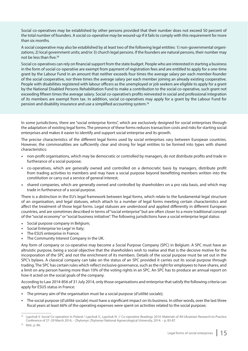Social co-operatives may be established by other persons provided that their number does not exceed 50 percent of the total number of founders. A social co-operative may be wound-up if it fails to comply with this requirement for more than six months.

A social cooperative may also be established by at least two of the following legal entities: 1) non-governmental organizations; 2) local government units; and/or 3) church legal persons. If the founders are natural persons, their number may not be less than five.<sup>38</sup>

Social co-operatives can rely on financial support from the state budget. People who are interested in starting a business in the form of social co-operative are exempt from payment of registration fees and are entitled to apply for a one-time grant by the Labour Fund in an amount that neither exceeds four times the average salary per each member-founder of the social cooperative, nor three times the average salary per each member joining an already existing cooperative. People with disabilities registered with labour officers as the unemployed or job seekers are eligible to apply for a grant by the National Disabled Persons Rehabilitation Fund to make a contribution to the social co-operative, such grant not exceeding fifteen times the average salary. Social co-operative's profits reinvested in social and professional integration of its members are exempt from tax. In addition, social co-operatives may apply for a grant by the Labour Fund for pension and disability insurance and use a simplified accounting system.<sup>39</sup>

In some jurisdictions, there are "social enterprise forms", which are exclusively designed for social enterprises through the adaptation of existing legal forms. The presence of these forms reduces transaction costs and risks for starting social enterprises and makes it easier to identify and support social enterprise and its growth.

The precise characteristics of the different legal forms used by social enterprises vary between European countries. However, the commonalities are sufficiently clear and strong for legal entities to be formed into types with shared characteristics:

- non-profit organisations, which may be democratic or controlled by managers, do not distribute profits and trade in furtherance of a social purpose;
- co-operatives, which are generally owned and controlled on a democratic basis by managers, distribute profit from trading activities to members and may have a social purpose beyond benefitting members written into the constitution or carry out a service of general interest;
- shared companies, which are generally owned and controlled by shareholders on a pro rata basis, and which may trade in furtherance of a social purpose.

There is a distinction in the EU's legal framework between legal forms, which relate to the fundamental legal structure of an organisation, and legal statuses, which attach to a number of legal forms meeting certain characteristics and affect the treatment of those legal forms. Legal statuses are understood and applied differently in different European countries, and are sometimes described in terms of "social enterprise" but are often closer to a more traditional concept of the "social economy" or "social business initiative". The following jurisdictions have a social enterprise legal status:

- Social purpose company in Belgium;
- Social Enterprise 'ex-Lege' in Italy;
- The ESUS enterprise in France;
- The Community Interest Company in the UK.

Any form of company or co-operative may become a Social Purpose Company (SPC) in Belgium. A SPC must have an altruistic purpose, being a social objective that the shareholders wish to realise and that is the decisive motive for the incorporation of the SPC and not the enrichment of its members. Details of the social purpose must be set out in the SPC's bylaws. A classical company can take on the status of an SPC provided it carries out its social purpose through trading. The SPC has certain rules which reflect inclusive governance, such as the right for employees to have shares, and a limit on any person having more than 10% of the voting rights in an SPC. An SPC has to produce an annual report on how it acted on the social goals of the company.

According to Law 2014-856 of 31 July 2014, only those organisations and enterprise that satisfy the following criteria can apply for ESUS status in France:

- The primary aim of the organisation must be a social purpose (d'utilité sociale);
- The social purpose (d'utilité sociale) must have a significant impact on its business. In other words, over the last three fiscal years at least 66% of the operating expenses were spent on activities related to the social purpose;

Lypchuk V. Social Co-operation in Poland / Lypchuk V., Lypchuk N. // Co-operative Readings 2014: Materials of All-Ukrainian Research-to-Practice Conference of 27–29 March 2014, – Zhytomyr: Zhytomyr National Agroecological University, 2014. – p. 83-87.

<sup>39</sup> Ibid., p. 86.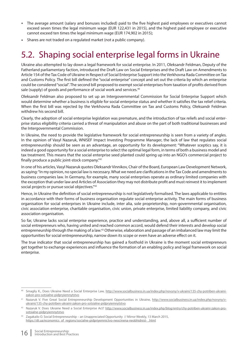- The average amount (salary and bonuses included) paid to the five highest paid employees or executives cannot exceed seven times the legal minimum wage (EUR 122,431 in 2015), and the highest paid employee or executive cannot exceed ten times the legal minimum wage (EUR 174,902 in 2015);
- Shares are not traded on a regulated market (not a public company).

#### 5.2. Shaping social enterprise legal forms in Ukraine

Ukraine also attempted to lay down a legal framework for social enterprise. In 2011, Oleksandr Feldman, Deputy of the Fatherland parliamentary faction, introduced the Draft Law on Social Enterprises and the Draft Law on Amendments to Article 154 of the Tax Code of Ukraine in Respect of Social Enterprise Support into the Verkhovna Rada Committee on Tax and Customs Policy. The first bill defined the "social enterprise" concept and set out the criteria by which an enterprise could be considered "social". The second bill proposed to exempt social enterprises from taxation of profits derived from sale (supply) of goods and performance of social work and services.<sup>40</sup>

Oleksandr Feldman also proposed to set up an Intergovernmental Commission for Social Enterprise Support which would determine whether a business is eligible for social enterprise status and whether it satisfies the tax relief criteria. When the first bill was rejected by the Verkhovna Rada Committee on Tax and Customs Policy, Oleksandr Feldman withdrew his second bill.

Clearly, the adoption of social enterprise legislation was premature, and the introduction of tax reliefs and social enterprise status eligibility criteria carried a threat of manipulation and abuse on the part of both traditional businesses and the Intergovernmental Commission.

In Ukraine, the need to provide the legislative framework for social entrepreneurship is seen from a variety of angles. In the opinion of Vasyl Nazaruk, WNISEF Impact Investing Programme Manager, the lack of law that regulates social entrepreneurship should be seen as an advantage, an opportunity for its development: "Whatever sceptics say, it is indeed a good opportunity for a social enterprise to select the optimal legal form, in terms of both a business model and tax treatment. This means that the social enterprise seed planted could spring up into an NGO's commercial project to finally produce a public joint-stock company."<sup>41</sup>

In one of his articles, Vasyl Nazaruk quotes Oleksandr Vinnikov, Chair of the Board, European Law Development Network, as saying: "In my opinion, no special law is necessary. What we need are clarifications in the Tax Code and amendments to business companies law. In Germany, for example, many social enterprises operate as ordinary limited companies with the exception that under law and Articles of Association they may not distribute profit and must reinvest it to implement social projects or pursue social objectives."42

Hence, in Ukraine the definition of social entrepreneurship is not legislatively formalised. The laws applicable to entities in accordance with their forms of business organisation regulate social enterprise activity. The main forms of business organisation for social enterprises in Ukraine include, inter alia, sole proprietorship, non-governmental organisation, civic association enterprise, charitable organisation, civic union, private enterprise, limited liability company, and civic association organisation.

So far, Ukraine lacks social enterprise experience, practice and understanding, and, above all, a sufficient number of social entrepreneurs who, having united and reached common accord, would defend their interests and develop social entrepreneurship through the making of a law.43 Otherwise, elaboration and passage of an imbalanced law may limit the opportunities for social entrepreneurship, narrow down its scope or even have an adverse effect on it.

The true indicator that social entrepreneurship has gained a foothold in Ukraine is the moment social entrepreneurs get together to exchange experiences and influence the formation of an enabling policy and legal framework on social enterprise.

<sup>40</sup> Smagliy K., Does Ukraine Need a Social Enterprise Law, http://www.socialbusiness.in.ua/index.php/novyny/v-ukraini/135-chy-potriben-ukrainizakon-pro-sotsialne-pidpryiemnytstvo

<sup>41</sup> Nazaruk V. Five Great Social Entrepreneurship Development Opportunities in Ukraine, http://www.socialbusiness.in.ua/index.php/novyny/vukraini/135-chy-potriben-ukraini-zakon-pro-sotsialne-pidpryiemnytstvo

<sup>42</sup> Nazaruk V. Does Ukraine Need a Social Enterprise Act? http://www.socialbusiness.in.ua/index.php/blog/entry/chy-potriben-ukraini-zakon-prosotsialne-pidpryiemnytstvo

<sup>43</sup> Zagakailo O. Social Entrepreneurship – an Unappreciated Opportunity // Mirror Weekly, 13 March 2015, https://dt.ua/economics\_of\_regions/socialne-pidpriyemnictvo-neocinena-neobhidnist-\_.html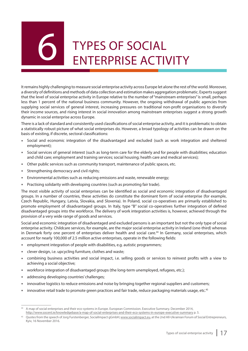# TYPES OF SOCIAL<br>ENTERPRISE ACTIVITY

It remains highly challenging to measure social enterprise activity across Europe let alone the rest of the world. Moreover, a diversity of definitions and methods of data collection and estimation makes aggregation problematic. Experts suggest that the level of social enterprise activity in Europe relative to the number of "mainstream enterprises" is small, perhaps less than 1 percent of the national business community. However, the ongoing withdrawal of public agencies from supplying social services of general interest, increasing pressures on traditional non-profit organisations to diversify their income sources, and rising interest in social innovation among mainstream enterprises suggest a strong growth dynamic in social enterprise across Europe.

There is a lack of standard and consistently used classifications of social enterprise activity, and it is problematic to obtain a statistically robust picture of what social enterprises do. However, a broad typology of activities can be drawn on the basis of existing, if discrete, sectoral classifications:

- Social and economic integration of the disadvantaged and excluded (such as work integration and sheltered employment);
- Social services of general interest (such as long-term care for the elderly and for people with disabilities; education and child care; employment and training services; social housing; health care and medical services);
- Other public services such as community transport, maintenance of public spaces, etc.
- **Strengthening democracy and civil rights;**
- Environmental activities such as reducing emissions and waste, renewable energy;
- Practising solidarity with developing countries (such as promoting fair trade).

The most visible activity of social enterprises can be identified as social and economic integration of disadvantaged groups. In a number of countries, these activities do constitute the dominant form of social enterprise (for example, Czech Republic, Hungary, Latvia, Slovakia, and Slovenia). In Poland, social co-operatives are primarily established to promote employment of disadvantaged groups. In Italy, type "B" social co-operatives further integration of defined disadvantaged groups into the workforce. The delivery of work integration activities is, however, achieved through the provision of a very wide range of goods and services.

Social and economic integration of disadvantaged and excluded persons is an important but not the only type of social enterprise activity. Childcare services, for example, are the major social enterprise activity in Ireland (one-third) whereas in Denmark forty one percent of enterprises deliver health and social care.<sup>44</sup> In Germany, social enterprises, which account for nearly 100,000 of 2.5 million active enterprises, operate in the following fields:

- employment integration of people with disabilities, e.g. autistic programmers;
- clever design, i.e. upcycling furniture, clothes and waste;
- combining business activities and social impact, i.e. selling goods or services to reinvest profits with a view to achieving a social objective;
- workforce integration of disadvantaged groups (the long-term unemployed, refugees, etc.);
- addressing developing countries' challenges;
- **innovative logistics to reduce emissions and noise by bringing together regional suppliers and customers;**
- innovative retail trade to promote green practices and fair trade, reduce packaging materials usage, etc.<sup>45</sup>

<sup>44</sup> A map of social enterprises and their eco-systems in Europe. European Commission. Executive Summary. December 2014, http://www.socent.ie/knowledgebase/a-map-of-social-enterprises-and-their-eco-systems-in-europe-executive-summary p. 5.

<sup>45</sup> Quotes from the speech of Jorg Furstenberger, SocialImpact gGmbH; www.socialimpact.eu, at the 2nd All-Ukrainian Forum of Social Entrepreneurs, Kyiv, 16 November 2016.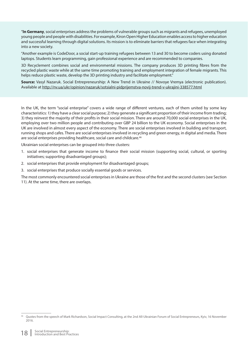"**In Germany**, social enterprises address the problems of vulnerable groups such as migrants and refugees, unemployed young people and people with disabilities. For example, Kiron Open Higher Education enables access to higher education and successful learning through digital solutions. Its mission is to eliminate barriers that refugees face when integrating into a new society.

"Another example is CodeDoor, a social start-up training refugees between 13 and 30 to become coders using donated laptops. Students learn programming, gain professional experience and are recommended to companies.

3D Recyclement combines social and environmental missions. The company produces 3D printing fibres from the recycled plastic waste while at the same time promoting training and employment integration of female migrants. This helps reduce plastic waste, develop the 3D printing industry and facilitate employment."

**Source:** Vasyl Nazaruk. Social Entrepreneurship: A New Trend in Ukraine // Novoye Vremya (electronic publication). Available at http://nv.ua/ukr/opinion/nazaruk/sotsialni-pidprijemstva-novij-trend-v-ukrajini-338577.html

In the UK, the term "social enterprise" covers a wide range of different ventures, each of them united by some key characteristics: 1) they have a clear social purpose; 2) they generate a significant proportion of their income from trading; 3) they reinvest the majority of their profits in their social mission. There are around 70,000 social enterprises in the UK, employing over two million people and contributing over GBP 24 billion to the UK economy. Social enterprises in the UK are involved in almost every aspect of the economy. There are social enterprises involved in building and transport, running shops and cafes. There are social enterprises involved in recycling and green energy, in digital and media. There are social enterprises providing healthcare, social care and childcare.<sup>46</sup>

Ukrainian social enterprises can be grouped into three clusters:

- 1. social enterprises that generate income to finance their social mission (supporting social, cultural, or sporting initiatives; supporting disadvantaged groups);
- 2. social enterprises that provide employment for disadvantaged groups;
- 3. social enterprises that produce socially essential goods or services.

The most commonly encountered social enterprises in Ukraine are those of the first and the second clusters (see Section 11). At the same time, there are overlaps.

Quotes from the speech of Mark Richardson, Social Impact Consulting, at the 2nd All-Ukrainian Forum of Social Entrepreneurs, Kyiv, 16 November 2016.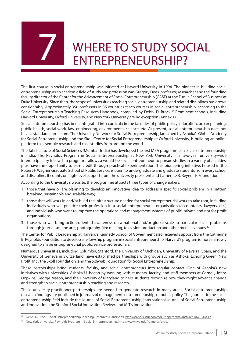WHERE TO STUDY SOCIAL<br>ENTREPRENEURSHIP?

The first course in social entrepreneurship was initiated at Harvard University in 1994. The pioneer in building social entrepreneurship as an academic field of study and profession was Gregory Dees, professor, researcher and the founding faculty director of the Center for the Advancement of Social Entrepreneurship (CASE) at the Fuqua School of Business at Duke University. Since then, the scope of universities teaching social entrepreneurship and related disciplines has grown considerably. Approximately 350 professors in 35 countries teach courses in social entrepreneurship, according to the Social Entrepreneurship Teaching Resources Handbook, compiled by Debbi D. Brock.47 Prominent schools, including Harvard University, Oxford University, and New York University are no exception (Annex 1).

Social entrepreneurship has been integrated into curricula in the faculties of public policy, education, urban planning, public health, social work, law, engineering, environmental science, etc. At present, social entrepreneurship does not have a standard curriculum. The University Network for Social Entrepreneurship, launched by Ashoka's Global Academy for Social Entrepreneurship and the Skoll Centre for Social Entrepreneurship at Oxford University, is building an online platform to assemble research and case studies from around the world.

The Tata Institute of Social Sciences (Mumbai, India) has developed the first MBA programme in social entrepreneurship in India. The Reynolds Program in Social Entrepreneurship at New York University – a two-year university-wide interdisciplinary fellowship program – allows a would-be social entrepreneur to pursue studies in a variety of faculties, plus have the opportunity to earn credit through practical experimentation. This pioneering initiative, housed in the Robert F. Wagner Graduate School of Public Service, is open to undergraduate and graduate students from every school and discipline. It counts on high-level support from the university president and Catherine B. Reynolds Foundation.

According to the University's website, the programme attracts three types of changemakers:

- 1. those that have or are planning to develop an innovative idea to address a specific social problem in a pattern breaking, sustainable and scalable way;
- 2. those that will work in and/or build the infrastructure needed for social entrepreneurial work to take root, including individuals who will practice their profession in a social entrepreneurial organisation (accountants, lawyers, etc.) and individuals who want to improve the operations and management systems of public, private and not for profit organisations;
- 3. those who will bring action-oriented awareness on a national and/or global scale to particular social problems through journalism, the arts, photography, film making, television production and other media avenues.<sup>48</sup>

The Center for Public Leadership at Harvard's Kennedy School of Government also received support from the Catherine B. Reynolds Foundation to develop a fellowship program in social entrepreneurship. Harvard's program is more narrowly designed to shape entrepreneurial public service professionals.

Numerous universities, including Columbia, Stanford, the University of Michigan, University of Navarra, Spain, and the University of Geneva in Switzerland, have established partnerships with groups such as Ashoka, Echoing Green, New Profit, Inc., the Skoll Foundation, and the Schwab Foundation for Social Entrepreneurship.

These partnerships bring students, faculty, and social entrepreneurs into regular contact. One of Ashoka's new initiatives with universities, Ashoka U, began by working with students, faculty, and staff members at Cornell, Johns Hopkins, George Mason, and the University of Maryland to help students recognize how they might advance change and strengthen social entrepreneurship teaching and research.

These university-practitioner partnerships are needed to generate research in many areas. Social entrepreneurship research findings are published in journals of management, entrepreneurship, or public policy. The journals in the social entrepreneurship field include the Journal of Social Entrepreneurship, International Journal of Social Entrepreneurship and Innovation, the Stanford Social Innovation Review, and MIT's Innovations.

Debbi D. Brock, Social Entrepreneurship Teaching Resources Handbook. http://papers.ssrn.com/sol3/papers.cfm?abstract\_id=1344412

<sup>48</sup> New York University. Reynolds Program in Social Entrepreneurship. http://www.nyu.edu/reynolds/grad/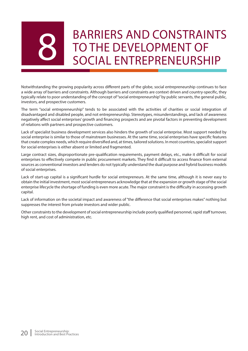## BARRIERS AND CONSTRAINTS TO THE DEVELOPMENT OF<br>SOCIAL ENTREPRENEURSHIP

Notwithstanding the growing popularity across different parts of the globe, social entrepreneurship continues to face a wide array of barriers and constraints. Although barriers and constraints are context driven and country-specific, they typically relate to poor understanding of the concept of "social entrepreneurship" by public servants, the general public, investors, and prospective customers.

The term "social entrepreneurship" tends to be associated with the activities of charities or social integration of disadvantaged and disabled people, and not entrepreneurship. Stereotypes, misunderstandings, and lack of awareness negatively affect social enterprises' growth and financing prospects and are pivotal factors in preventing development of relations with partners and prospective customers.

Lack of specialist business development services also hinders the growth of social enterprise. Most support needed by social enterprise is similar to those of mainstream businesses. At the same time, social enterprises have specific features that create complex needs, which require diversified and, at times, tailored solutions. In most countries, specialist support for social enterprises is either absent or limited and fragmented.

Large contract sizes, disproportionate pre-qualification requirements, payment delays, etc., make it difficult for social enterprises to effectively compete in public procurement markets. They find it difficult to access finance from external sources as conventional investors and lenders do not typically understand the dual purpose and hybrid business models of social enterprises.

Lack of start-up capital is a significant hurdle for social entrepreneurs. At the same time, although it is never easy to obtain the initial investment, most social entrepreneurs acknowledge that at the expansion or growth stage of the social enterprise lifecycle the shortage of funding is even more acute. The major constraint is the difficulty in accessing growth capital.

Lack of information on the societal impact and awareness of "the difference that social enterprises makes" nothing but suppresses the interest from private investors and wider public.

Other constraints to the development of social entrepreneurship include poorly qualified personnel, rapid staff turnover, high rent, and cost of administration, etc.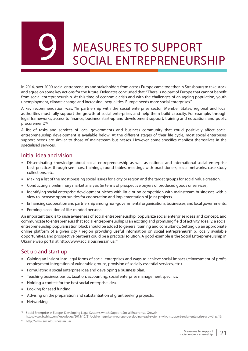MEASURES TO SUPPORT<br>SOCIAL ENTREPRENEURSHIP

In 2014, over 2000 social entrepreneurs and stakeholders from across Europe came together in Strasbourg to take stock and agree on some key actions for the future. Delegates concluded that: "There is no part of Europe that cannot benefit from social entrepreneurship. At this time of economic crisis and with the challenges of an ageing population, youth unemployment, climate change and increasing inequalities, Europe needs more social enterprises."

A key recommendation was: "In partnership with the social enterprise sector, Member States, regional and local authorities must fully support the growth of social enterprises and help them build capacity. For example, through legal frameworks, access to finance, business start-up and development support, training and education, and public procurement."49

A list of tasks and services of local governments and business community that could positively affect social entrepreneurship development is available below. At the different stages of their life cycle, most social enterprises support needs are similar to those of mainstream businesses. However, some specifics manifest themselves in the specialised services.

#### Initial idea and vision

- Disseminating knowledge about social entrepreneurship as well as national and international social enterprise best practices through seminars, trainings, round tables, meetings with practitioners, social networks, case study collections, etc.
- Making a list of the most pressing social issues for a city or region and the target groups for social value creation.
- Conducting a preliminary market analysis (in terms of prospective buyers of produced goods or services).
- Identifying social enterprise development niches with little or no competition with mainstream businesses with a view to increase opportunities for cooperation and implementation of joint projects.
- Enhancing cooperation and partnership among non-governmental organisations, businesses, and local governments.
- **Forming a coalition of like-minded persons.**

An important task is to raise awareness of social entrepreneurship, popularize social enterprise ideas and concept, and communicate to entrepreneurs that social entrepreneurship is an exciting and promising field of activity. Ideally, a social entrepreneurship popularisation block should be added to general training and consultancy. Setting up an appropriate online platform of a given city / region providing useful information on social entrepreneurship, locally available opportunities, and prospective partners could be a practical solution. A good example is the Social Entrepreneurship in Ukraine web portal at http://www.socialbusiness.in.ua.<sup>50</sup>

#### Set up and start up

- Gaining an insight into legal forms of social enterprises and ways to achieve social impact (reinvestment of profit, employment integration of vulnerable groups, provision of socially essential services, etc.).
- Formulating a social enterprise idea and developing a business plan.
- Teaching business basics: taxation, accounting, social enterprise management specifics.
- Holding a contest for the best social enterprise idea.
- Looking for seed funding.
- Advising on the preparation and substantiation of grant seeking projects.
- **Networking.**

<sup>49</sup> Social Enterprise in Europe: Developing Legal Systems which Support Social Enterprise. Growth http://www.bwbllp.com/knowledge/2015/10/21/ocial-enterprise-in-europe-developing-legal-systems-which-support-social-enterprise-growth p. 16.

<sup>50</sup> http://www.socialbusiness.in.ua/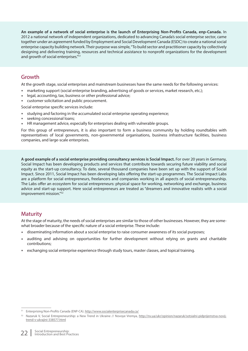An example of a network of social enterprise is the launch of Enterprising Non-Profits Canada, enp-Canada. In 2012 a national network of independent organizations, dedicated to advancing Canada's social enterprise sector, came together under an agreement funded by Employment and Social Development Canada (ESDC) to create a national social enterprise capacity building network. Their purpose was simple, "To build sector and practitioner capacity by collectively designing and delivering training, resources and technical assistance to nonprofit organizations for the development and growth of social enterprises."<sup>51</sup>

#### Growth

At the growth stage, social enterprises and mainstream businesses have the same needs for the following services:

- marketing support (social enterprise branding, advertising of goods or services, market research, etc.);
- legal, accounting, tax, business or other professional advice;
- customer solicitation and public procurement.

Social enterprise specific services include:

- studying and factoring in the accumulated social enterprise operating experience;
- seeking concessional loans;
- HR management advice, especially for enterprises dealing with vulnerable groups.

For this group of entrepreneurs, it is also important to form a business community by holding roundtables with representatives of local governments, non-governmental organisations, business infrastructure facilities, business companies, and large-scale enterprises.

**A good example of a social enterprise providing consultancy services is Social Impact.** For over 20 years in Germany, Social Impact has been developing products and services that contribute towards securing future viability and social equity as the start-up consultancy. To date, several thousand companies have been set up with the support of Social Impact. Since 2011, Social Impact has been developing labs offering the start-up programmes. The Social Impact Labs are a platform for social entrepreneurs, freelancers and companies working in all aspects of social entrepreneurship. The Labs offer an ecosystem for social entrepreneurs: physical space for working, networking and exchange, business advice and start-up support. Here social entrepreneurs are treated as "dreamers and innovative realists with a social improvement mission."52

#### **Maturity**

At the stage of maturity, the needs of social enterprises are similar to those of other businesses. However, they are somewhat broader because of the specific nature of a social enterprise. These include:

- disseminating information about a social enterprise to raise consumer awareness of its social purposes;
- auditing and advising on opportunities for further development without relying on grants and charitable contributions;
- exchanging social enterprise experience through study tours, master classes, and topical training.

Enterprising Non-Profits Canada (ENP-CA). http://www.socialenterprisecanada.ca/

Nazaruk V, Social Entrepreneurship: a New Trend in Ukraine // Novoye Vremya, http://nv.ua/ukr/opinion/nazaruk/sotsialni-pidprijemstva-novijtrend-v-ukrajini-338577.html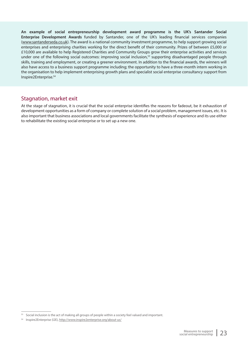**An example of social entrepreneurship development award programme is the UK's Santander Social Enterprise Development Awards** funded by Santander, one of the UK's leading financial services companies (www.santanderseda.co.uk). The award is a national community investment programme, to help support growing social enterprises and enterprising charities working for the direct benefit of their community. Prizes of between £5,000 or £10,000 are available to help Registered Charities and Community Groups grow their enterprise activities and services under one of the following social outcomes: improving social inclusion,<sup>53</sup> supporting disadvantaged people through skills, training and employment, or creating a greener environment. In addition to the financial awards, the winners will also have access to a business support programme including; the opportunity to have a three-month intern working in the organisation to help implement enterprising growth plans and specialist social enterprise consultancy support from Inspire2Enterprise.54

#### Stagnation, market exit

At the stage of stagnation, it is crucial that the social enterprise identifies the reasons for fadeout, be it exhaustion of development opportunities as a form of company or complete solution of a social problem, management issues, etc. It is also important that business associations and local governments facilitate the synthesis of experience and its use either to rehabilitate the existing social enterprise or to set up a new one.

<sup>&</sup>lt;sup>53</sup> Social inclusion is the act of making all groups of people within a society feel valued and important.

<sup>54</sup> Inspire2Enterprise (I2E), http://www.inspire2enterprise.org/about-us/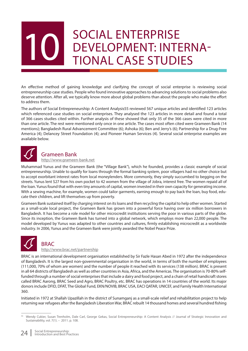## SOCIAL ENTERPRISE DEVELOPMENT: INTERNA-<br>TIONAL CASE STUDIES

An effective method of gaining knowledge and clarifying the concept of social enterprise is reviewing social entrepreneurship case studies. People who found innovative approaches to advancing solutions to social problems also deserve attention. After all, we typically know more about global problems than about the people who make the effort to address them.

The authors of Social Entrepreneurship: A Content Analysis55 reviewed 567 unique articles and identified 123 articles which referenced case studies on social enterprises. They analysed the 123 articles in more detail and found a total of 366 cases studies cited within. Further analysis of these showed that only 35 of the 366 cases were cited in more than one article. The rest were mentioned only once in one article. The cases most often cited were Grameen Bank (14 mentions); Bangladesh Rural Advancement Committee (6); Ashoka (6); Ben and Jerry's (6); Partnership for a Drug-Free America (4); Delancey Street Foundation (4); and Pioneer Human Services (4). Several social enterprise examples are available below.



#### Grameen Bank

http://www.grameen-bank.net

Muhammad Yunus and the Grameen Bank (the "Village Bank"), which he founded, provides a classic example of social entrepreneurship. Unable to qualify for loans through the formal banking system, poor villagers had no other choice but to accept exorbitant interest rates from local moneylenders. More commonly, they simply succumbed to begging on the streets. Yunus lent \$27 from his own pocket to 42 women from the village of Jobra, interest free. The women repaid all of the loan. Yunus found that with even tiny amounts of capital, women invested in their own capacity for generating income. With a sewing machine, for example, women could tailor garments, earning enough to pay back the loan, buy food, educate their children, and lift themselves up from poverty.

Grameen Bank sustained itself by charging interest on its loans and then recycling the capital to help other women. Started as a small-scale local project, the Grameen Bank has grown into a powerful force having over six million borrowers in Bangladesh. It has become a role model for other microcredit institutions serving the poor in various parts of the globe. Since its inception, the Grameen Bank has turned into a global network, which employs more than 22,000 people. The model developed by Yunus was adapted to other countries and cultures, firmly establishing microcredit as a worldwide industry. In 2006, Yunus and the Grameen Bank were jointly awarded the Nobel Peace Prize.



**BRAC** 

#### http://www.brac.net/partnership

BRAC is an international development organisation established by Sir Fazle Hasan Abed in 1972 after the independence of Bangladesh. It is the largest non-governmental organisation in the world, in terms of both the number of employees (111,000, 70% of whom are women) and the number of people it reached with its services (138 million). BRAC is present in all 64 districts of Bangladesh as well as other countries in Asia, Africa, and the Americas. The organisation is 70-80% selffunded through a number of social enterprises that include a dairy and food project, and a chain of retail handicraft stores called BRAC Aarong, BRAC Seed and Agro, BRAC Poultry, etc. BRAC has operations in 14 countries of the world. Its major donors include DFID, DFAT, The Global Fund, EKN/NOVIB, BRAC USA, EACI QATAR, UNICEF, and Family Health International 360.

Initiated in 1972 at Shallah Upazillah in the district of Sunamganj as a small-scale relief and rehabilitation project to help returning war refugees after the Bangladesh Liberation War, BRAC rebuilt 14 thousand homes and several hundred fishing

<sup>55</sup> Wendy Cukier, Susan Trenholm, Dale Carl, George Gekas, Social Entrepreneurship: A Content Analysis // Journal of Strategic Innovation and Sustainability, vol. 7(1). – 2011. p. 108.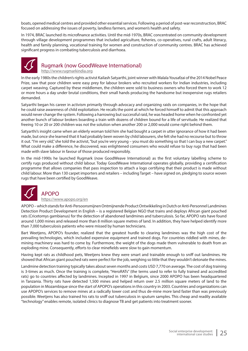boats, opened medical centres and provided other essential services. Following a period of post-war reconstruction, BRAC focused on addressing the issues of poverty, landless farmers, and women's health and safety.

In 1974, BRAC launched its microfinance activities. Until the mid-1970s, BRAC concentrated on community development through village development programmes that included agriculture, fisheries, co-operatives, rural crafts, adult literacy, health and family planning, vocational training for women and construction of community centres. BRAC has achieved significant progress in combating tuberculosis and diarrhoea.



Rugmark (now GoodWeave International)

http://www.rugmarkindia.org

In the early 1980s the children's rights activist Kailash Satyarthi, joint winner with Malala Yousafzai of the 2014 Nobel Peace Prize, saw that poor children were easy prey for labour brokers who recruited workers for Indian industries, including carpet weaving. Captured by these middlemen, the children were sold to business owners who forced them to work 12 or more hours a day under brutal conditions, their small hands producing the handsome but inexpensive rugs retailers demanded.

Satyarthi began his career in activism primarily through advocacy and organizing raids on companies, in the hope that he could raise awareness of child exploitation. He recalls the point at which he forced himself to admit that this approach would never change the system. Following a harrowing but successful raid, he was headed home when he confronted yet another bunch of labour brokers boarding a train with dozens of children bound for a life of servitude. He realized that freeing 10 or 20 or 200 children was not the solution when another 200 or 2,000 would come right behind them.

Satyarthi's insight came when an elderly woman told him she had bought a carpet in utter ignorance of how it had been made, but once she learned that it had probably been woven by child labourers, she felt she had no recourse but to throw it out. "I'm very old," she told the activist, "but you're very young – you must do something so that I can buy a new carpet." What could make a difference, he discovered, was enlightened consumers who would refuse to buy rugs that had been made with slave labour in favour of those produced responsibly.

In the mid-1990s he launched Rugmark (now GoodWeave International) as the first voluntary labelling scheme to certify rugs produced without child labour. Today GoodWeave International operates globally, providing a certification programme that allows companies that pass inspection to attach a logo certifying that their product is made without child labour. More than 130 carpet importers and retailers – including Target – have signed on, pledging to source woven rugs that have been certified by GoodWeave.



#### APOPO

https://www.apopo.org/en

APOPO – which stands for Anti-Persoonsmijnen Ontmijnende Product Ontwikkeling in Dutch or Anti-Personnel Landmines Detection Product Development in English – is a registered Belgian NGO that trains and deploys African giant pouched rats (Cricetomys gambianus) for the detection of abandoned landmines and tuberculosis. So far, APOPO rats have found around 1,000 mines and released more than 8 million square metres of land. In addition, they have helped identify more than 7,000 tuberculosis patients who were missed by human technicians.

Bart Weetjens, APOPO's founder, realized that the greatest hurdle to clearing landmines was the high cost of the prevailing technologies, which included expensive equipment and trained dogs. For countries riddled with mines, demining machinery was hard to come by. Furthermore, the weight of the dogs made them vulnerable to death from an exploding mine. Consequently, efforts to clear minefields were slow to gain momentum.

Having kept rats as childhood pets, Weetjens knew they were smart and trainable enough to sniff out landmines. He showed that African giant pouched rats were perfect for the job, weighing so little that they wouldn't detonate the mines.

Landmine detection training typically takes about seven months and costs USD 7,770 on average. The cost of dog training is 3-times as much. Once the training is complete, "HeroRATs" (the terms used to refer to fully trained and accredited rats) go to countries affected by landmines. Incepted in 1997 in Belgium, since 2000 APOPO has been headquartered in Tanzania. Thirty rats have detected 1,500 mines and helped return over 2.5 million square meters of land to the population in Mozambique since the start of APOPO's operations in this country in 2003. Countries and organizations can use APOPO's services to remove mines at a radically lower cost and thus de-mine more land faster than was previously possible. Weetjens has also trained his rats to sniff out tuberculosis in sputum samples. This cheap and readily available "technology" enables remote, isolated clinics to diagnose TB and get patients into treatment sooner.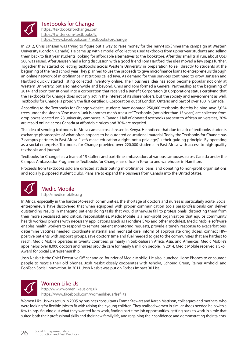

#### Textbooks for Change

https://textbooksforchange.com https://twitter.com/textbooks4c https://www.facebook.com/TextbooksForChange

In 2012, Chris Janssen was trying to figure out a way to raise money for the Terry-Fox/Shinerama campaign at Western University (London, Canada). He came up with a model of collecting used textbooks from upper year students and selling them back to first year students looking for affordable alternatives to the bookstore. After this small trial run, about USD 500 was raised. After Janssen had a long discussion with a good friend Tom Hartford, the idea moved a few steps further. Together they started collecting textbooks across Western University in preparation to sell directly to students at the beginning of the next school year They planned to use the proceeds to give microfinance loans to entrepreneurs through an online network of microfinance institutions called Kiva. As demand for their services continued to grow, Janssen and Hartford quickly started listing collected inventory online. Their business idea has soon become popular not only at Western University, but also nationwide and beyond. Chris and Tom formed a General Partnership at the beginning of 2014, and soon transitioned into a corporation that received a Benefi t Corporation (B Corporation) status certifying that the Textbooks for Change does not only act in the interest of its shareholders, but the society and environment as well. Textbooks for Change is proudly the first certified B Corporation out of London, Ontario and part of over 100 in Canada.

According to the Textbooks for Change website, students have donated 250,000 textbooks thereby helping save 3,054 trees under the slogan "One man's junk is another man's treasure." Textbooks (not older than 15 years) are collected from drop boxes located on 28 university campuses in Canada. Half of donated textbooks are sent to African universities, 20% are resold online across Canada at affordable prices and 30% are recycled.

The idea of sending textbooks to Africa came across Janssen in Kenya. He noticed that due to lack of textbooks students exchange photocopies of what often appears to be outdated educational material. Today the Textbooks for Change has 7 campus partners in East Africa. "Let's make education a right, not a privilege," is their guiding principle. By operating as a social enterprise, Textbooks for Change provided over 220,000 students in East Africa with access to high-quality textbooks and journals.

Textbooks for Change has a team of 15 staffers and part-time ambassadors at various campuses across Canada under the Campus Ambassador Programme. Textbooks for Change has office in Toronto and warehouse in Hamilton.

Proceeds from textbooks sold are directed at distributing microfinance loans, and donating to non-profit organisations and socially purposed student clubs. Plans are to expand the business from Canada into the United States.



In Africa, especially in the hardest-to-reach communities, the shortage of doctors and nurses is particularly acute. Social entrepreneurs have discovered that when equipped with proper communication tools paraprofessionals can deliver outstanding results in managing patients doing tasks that would otherwise fall to professionals, distracting them from their more specialized, and critical, responsibilities. Medic Mobile is a non-profit organisation that equips community health workers' phones with necessary applications (such as Frontline SMS and other modules). Medic Mobile software enables health workers to respond to remote patient monitoring requests, provide a timely response to exacerbations, determine vaccines needed, coordinate maternal and neonatal care, inform of appropriate drug doses, connect HIVpositive patients with support groups, save doctors' time and fuel needed to get to the communities that are hardest to reach. Medic Mobile operates in twenty countries, primarily in Sub-Saharan Africa, Asia, and Americas. Medic Mobile's apps helps over 8,000 doctors and nurses provide care for nearly 6 million people. In 2014, Medic Mobile received a Skoll Award for Social Entrepreneurship.

Josh Nesbit is the Chief Executive Officer and co-founder of Medic Mobile. He also launched Hope Phones to encourage people to recycle their old phones. Josh Nesbit closely cooperates with Ashoka, Echoing Green, Rainer Arnhold, and PopTech Social Innovation. In 2011, Josh Nesbit was put on Forbes Impact 30 List.



#### Women Like Us

http://www.womenlikeus.org.uk https://www.facebook.com/womenlikeus?fref=ts

Women Like Us was set up in 2005 by business consultants Emma Stewart and Karen Mattison, colleagues and mothers, who were looking for flexible jobs to fit with raising their young children. They realised women in similar shoes needed help with a few things: figuring out what they wanted from work, finding part time job opportunities, getting back to work in a role that suited both their professional skills and their new family life, and regaining their confidence and demonstrating their talents.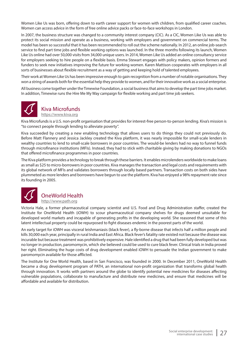Women Like Us was born, offering down to earth career support for women with children, from qualified career coaches. Women can access advice in the form of free online advice packs or face-to-face workshops in London.

In 2007, the business structure was changed to a community interest company (CIC). As a CIC, Women Like Us was able to protect its social mission and operate as a business, working with employers and government on commercial terms. The model has been so successful that it has been recommended to roll out the scheme nationally. In 2012, an online job-search service to find part time jobs and flexible working options was launched. In the three months following its launch, Women Like Us online had over 50,000 visits from 34,000 unique users. In 2014, Women Like Us added an online consultancy service for employers seeking to hire people on a flexible basis. Emma Stewart engages with policy makers, opinion formers and funders to seek new initiatives improving the future for working women. Karen Mattison cooperates with employers in all sorts of businesses about flexible recruitment as a way of getting and keeping hold of talented employees.

Their work at Women Like Us has been impressive enough to gain recognition from a number of notable organisations. They won a string of awards both for the essential help they provide to women, and for their innovative work as a social enterprise.

All business come together under the Timewise Foundation, a social business that aims to develop the part time jobs market. In addition, Timewise runs the Hire Me My Way campaign for flexible working and part time job seekers.



#### Kiva Microfunds https://www.kiva.org

Kiva Microfunds is a U.S. non-profit organisation that provides for interest-free person-to-person lending. Kiva's mission is "to connect people through lending to alleviate poverty".

Kiva succeeded by creating a new enabling technology that allows users to do things they could not previously do. Before Matt Flannery and Jessica Jackley created the Kiva platform, it was nearly impossible for small-scale lenders in wealthy countries to lend to small-scale borrowers in poor countries. The would-be lenders had no way to funnel funds through microfinance institutions (MFIs). Instead, they had to stick with charitable giving by making donations to NGOs that offered microfinance programmes in poor countries.

The Kiva platform provides a technology to break through these barriers. It enables microlenders worldwide to make loans as small as \$25 to micro-borrowers in poor countries. Kiva manages the transaction and legal costs and requirements with its global network of MFIs and validates borrowers through locally based partners. Transaction costs on both sides have plummeted as more lenders and borrowers have begun to use the platform. Kiva has enjoyed a 98% repayment rate since its founding in 2005.



Victoria Hale, a former pharmaceutical company scientist and U.S. Food and Drug Administration staffer, created the Institute for OneWorld Health (iOWH) to scour pharmaceutical company shelves for drugs deemed unsuitable for developed world markets and incapable of generating profits in the developing world. She reasoned that some of this latent intellectual property could be repurposed to fight diseases endemic in the poorest parts of the world.

An early target for iOWH was visceral leishmaniasis (black fever), a fly-borne disease that infects half a million people and kills 30,000 each year, principally in rural India and East Africa. Black fever's fatality rate existed not because the disease was incurable but because treatment was prohibitively expensive. Hale identified a drug that had been fully developed but was no longer in production, paromomycin, which she believed could be used to cure black fever. Clinical trials in India proved her right. Eliminating the huge costs of drug development enabled iOWH to persuade the Indian government to make paromomycin available for those afflicted.

The Institute for One World Health, based in San Francisco, was founded in 2000. In December 2011, OneWorld Health became a drug development program of PATH, an international non-profi t organization that transforms global health through innovation. It works with partners around the globe to identify potential new medicines for diseases affecting vulnerable populations, collaborate to manufacture and distribute new medicines, and ensure that medicines will be affordable and available for distribution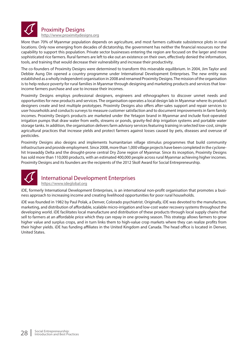

More than 70% of Myanmar population depends on agriculture, and most farmers cultivate subsistence plots in rural locations. Only now emerging from decades of dictatorship, the government has neither the financial resources nor the capability to support this population. Private sector businesses entering the region are focused on the larger and more sophisticated rice farmers. Rural farmers are left to eke out an existence on their own, effectively denied the information, tools, and training that would decrease their vulnerability and increase their productivity.

The co-founders of Proximity Designs were determined to transform this miserable equilibrium. In 2004, Jim Taylor and Debbie Aung Din opened a country programme under International Development Enterprises. The new entity was established as a wholly independent organisation in 2008 and renamed Proximity Designs. The mission of the organisation is to help reduce poverty for rural families in Myanmar through designing and marketing products and services that lowincome farmers purchase and use to increase their incomes.

Proximity Designs employs professional designers, engineers and ethnographers to discover unmet needs and opportunities for new products and services. The organisation operates a local design lab in Myanmar where its product designers create and test multiple prototypes. Proximity Designs also offers after-sales support and repair services to user households and conducts surveys to measure customer satisfaction and to document improvements in farm family incomes. Proximity Design's products are marketed under the Yetagon brand in Myanmar and include foot-operated irrigation pumps that draw water from wells, streams or ponds, gravity-fed drip irrigation systems and portable water storage tanks. In addition, the organisation delivers farm advisory services featuring training in selected low-cost, simple agricultural practices that increase yields and protect farmers against losses caused by pets, diseases and overuse of pesticides.

Proximity Designs also designs and implements humanitarian village stimulus programmes that build community infrastructure and provide employment. Since 2008, more than 1,000 village projects have been completed in the cyclonehit Irrawaddy Delta and the drought-prone central Dry Zone region of Myanmar. Since its inception, Proximity Designs has sold more than 110,000 products, with an estimated 400,000 people across rural Myanmar achieving higher incomes. Proximity Designs and its founders are the recipients of the 2012 Skoll Award for Social Entrepreneurship.



iDE, formerly International Development Enterprises, is an international non-profi t organisation that promotes a business approach to increasing income and creating livelihood opportunities for poor rural households.

iDE was founded in 1982 by Paul Polak, a Denver, Colorado psychiatrist. Originally, iDE was devoted to the manufacture, marketing, and distribution of affordable, scalable micro-irrigation and low-cost water recovery systems throughout the developing world. iDE facilitates local manufacture and distribution of these products through local supply chains that sell to farmers at an affordable price which they can repay in one growing season. This strategy allows farmers to grow higher value and surplus crops, and in turn links them to high-value crop markets where they can realize profits from their higher yields. iDE has funding affiliates in the United Kingdom and Canada. The head office is located in Denver, United States.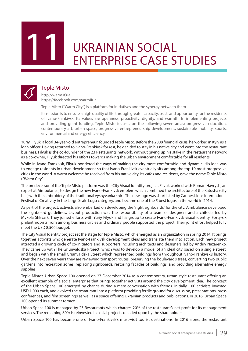

# UKRAINIAN SOCIAL<br>ENTERPRISE CASE STUDIES



#### Teple Misto

http://warm.if.ua https://facebook.com/warmifua

Teple Misto ("Warm City") is a platform for initiatives and the synergy between them.

Its mission is to ensure a high quality of life through greater capacity, trust, and opportunity for the residents of Ivano-Frankivsk. Its values are openness, proactivity, dignity, and warmth. In implementing projects and providing grant funding, Teple Misto focuses on the following seven areas: progressive education, contemporary art, urban space, progressive entrepreneurship development, sustainable mobility, sports, environmental and energy efficiency.

Yuriy Filyuk, a local 34-year-old entrepreneur, founded Teple Misto. Before the 2008 financial crisis, he worked in Kyiv as a loan officer. Having returned to Ivano-Frankivsk for rest, he decided to stay in his native city and went into the restaurant business. Filyuk is the co-founder of the 23 Restaurants network. Without giving up his stake in the restaurant network as a co-owner, Filyuk directed his efforts towards making the urban environment comfortable for all residents.

While in Ivano-Frankivsk, Filyuk pondered the ways of making the city more comfortable and dynamic. His idea was to engage residents in urban development so that Ivano-Frankivsk eventually sits among the top 10 most progressive cities in the world. A warm welcome he received from his native city, its cafes and residents, gave the name Teple Misto ("Warm City".

The predecessor of the Teple Misto platform was the City Visual Identity project. Filyuk worked with Roman Havrysh, an expert at Aimbulance, to design the new Ivano-Frankivsk emblem which combined the architecture of the Ratusha (city hall) with the embroidery of the traditional vyshyvanka shirt. The new logo was shortlisted by Cannes Lions International Festival of Creativity in the Large Scale Logo category, and became one of the 5 best logos in the world in 2014.

As part of the project, activists also embarked on developing the "right signboards" for the city. Aimbulance developed the signboard guidelines. Layout production was the responsibility of a team of designers and architects led by Mykola Shkvark. They joined efforts with Yuriy Filyuk and his group to create Ivano-Frankivsk visual identity. Forty-six philanthropists from among business circles and ordinary people supported the project. Their joint effort helped fully meet the USD 8,500 budget.

The City Visual Identity project set the stage for Teple Misto, which emerged as an organization in spring 2014. It brings together activists who generate Ivano-Frankivsk development ideas and translate them into action. Each new project attracted a growing circle of co-initiators and supporters including architects and designers led by Andriy Nazarenko. They came up with The Griunvaldska Project, which was to develop a model of an ideal city based on a single street, and began with the small Griunvaldska Street which represented buildings from throughout Ivano-Frankivsk's history. Over the next seven years they are reviewing transport routes, preserving the boulevard's trees, converting two public gardens into recreation zones, replacing signboards, restoring facades of buildings, and providing alternative energy supplies.

Teple Misto's Urban Space 100 opened on 27 December 2014 as a contemporary, urban-style restaurant offering an excellent example of a social enterprise that brings together activists around the city development idea. The concept of the Urban Space 100 emerged by chance during a mere conversation with friends. Initially, 100 activists invested USD 1,000 each, and evolved the restaurant into a platform providing fertile ground for discussion, presentations, press conferences, and film screenings as well as a space offering Ukrainian products and publications. In 2016, Urban Space 100 opened its summer terrace.

Urban Space 100 is managed by 23 Restaurants which charges 20% of the restaurant's net profit for its management services. The remaining 80% is reinvested in social projects decided upon by the shareholders.

Urban Space 100 has become one of Ivano-Frankivsk's must-visit tourist destinations. In 2016 alone, the restaurant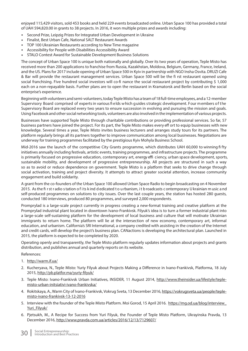enjoyed 115,429 visitors, sold 453 books and held 229 events broadcasted online. Urban Space 100 has provided a total of UAH 594,820.00 in grants to 38 projects. In 2016, it won multiple prizes and awards including:

- Second Prize, Leipzig Prizes for Integrated Urban Development in Ukraine
- Finalist, Best Urban Cafe, National SALT Restaurant Awards
- TOP 100 Ukrainian Restaurants according to New Time magazine
- Accessibility for People with Disabilities Accessibility Award
- STALO Contest Award for Sustainable Development Business Solutions

The concept of Urban Space 100 is unique both nationally and globally. Over its two years of operation, Teple Misto has received more than 200 applications to franchise from Russia, Kazakhstan, Moldova, Belgium, Germany, France, Ireland, and the US. Plans for 2017 include opening of Urban Space 500 in Kyiv in partnership with NGO Insha Osvita. DRUZI Cafe & Bar will provide the restaurant management services. Urban Space 500 will be the fi rst restaurant opened using social franchising. Five hundred social investors will co-fi nance the social restaurant project by contributing \$ 1,000 each on a non-repayable basis. Further plans are to open the restaurant in Kramatorsk and Berlin based on the social enterprise's experience.

Beginning with volunteers and semi-volunteers, today Teple Misto has a team of 18 full-time employees, and a 12-member Supervisory Board comprised of experts in various fi elds which guides strategic development. Four members of the Supervisory Board are replaced every two years to ensure succession in evolving and pursuing the mission and goals. Using Facebook and other social networking tools, volunteers are also involved in the implementation of various projects.

Businesses have supported Teple Misto through charitable contributions or providing professional services. So far, 57 business partners have joined the project. For its part, the Teple Misto makes every eff ort to equip businesses with new knowledge. Several times a year, Teple Misto invites business lecturers and arranges study tours for its partners. The platform regularly brings all its partners together to improve communication among local businesses. Negotiations are underway for training programmes facilitated by the prestigious Kyiv Mohyla Business School.

Mid-2016 saw the launch of the competitive City Grants programme, which distributes UAH 60,000 to winning fi fty initiatives annually including festivals, artistic events, training programmes, and infrastructure projects. The programme is primarily focused on progressive education, contemporary art, energy effi ciency, urban space development, sports, sustainable mobility, and development of progressive entrepreneurship. All projects are structured in such a way so as to avoid or reduce dependence on government. Teple Misto is a platform that seeks to drive change through social activation, training and project diversity. It attempts to attract greater societal attention, increase community engagement and build solidarity.

A grant from the co-founders of the Urban Space 100 allowed Urban Space Radio to begin broadcasting on 4 November 2015. As the fi r st r adio s tation o f i ts k ind d edicated t o u rbanism, i t b roadcasts c ontemporary U krainian m usic a nd self-produced programmes on solutions to city issues. Over the last couple years, the station has hosted 280 guests, conducted 180 interviews, produced 80 programmes, and surveyed 2,000 respondents.

Promprylad is a large-scale project currently in progress creating a new-format training and creative platform at the Promprylad industrial plant located in downtown Ivano-Frankivsk. Filyuk's idea is to turn a former industrial plant into a large-scale self-sustaining platform for the development of local business and culture that will motivate Ukrainian immigrants to return home. The platform will lie at the intersection of new economy, contemporary art, informal education, and urbanism. California's SRI International, a company credited with assisting in the creation of the Internet and credit cards, will develop the project's business plan. CANactions is developing the architectural plan. Launched in 2015, the platform is expected to be completed by 2020.

Operating openly and transparently, the Teple Misto platform regularly updates information about projects and grants distribution, and publishes annual and quarterly reports on its website.

References:

- 1. http://warm.if.ua/
- 2. Kucheryava, N., Teple Misto: Yuriy Filyuk about Projects Making a Difference in Ivano-Frankiysk, Platforma, 18 July 2015, http://pb.platfor.ma/yuriy-filyuk/
- 3. Teple Misto: Ivano-Frankivsk Urban Initiatives, INSIDER, 11 August 2014, http://www.theinsider.ua/lifestyle/teplemisto-urban-initsiativi-ivano-frankivska/
- 4. Rokitskaya, A., Warm City of Ivano-Frankivsk, Vokrug Sveta, 13 December 2016, https://vokrugsveta.ua/people/teplemisto-ivano-frankivsk-13-12-2016
- 5. Interview with the founder of the Teple Misto Platform. Moi Gorod, 15 April 2016. https://mg.od.ua/blog/interview\_ Yuri\_Filvuk/
- 6. Pjetsukh, M., A Recipe for Success from Yuri Filyuk, the Founder of Teple Misto Platform, Ukrayinska Pravda, 13 December 2016, http://www.pravda.com.ua/articles/2016/12/13/7129607/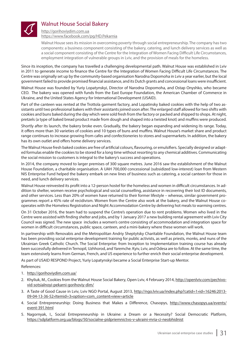

#### Walnut House Social Bakery

http://gorihoviydim.com.ua https://www.facebook.com/pg/HD.Pekarnia

Walnut House sees its mission in overcoming poverty through social entrepreneurship. The company has two components: a business component consisting of the bakery, catering, and lunch delivery services as well as a social component consisting of the Centre for the Integration of Women Facing Difficult Life Circumstances, employment integration of vulnerable groups in Lviv, and the provision of meals for the homeless.

Since its inception, the company has travelled a challenging developmental path. Walnut House was established in Lviv in 2011 to generate income to finance the Centre for the Integration of Women Facing Difficult Life Circumstances. The Centre was originally set up by the community-based organisation Narodna Dopomoha in Lviv a year earlier, but the local government failed to provide promised financial assistance, and its Dutch grants and concessional loans were insufficient.

Walnut House was founded by Yuriy Lopatynskyi, Director of Narodna Dopomoha, and Ostap Onyshko, who became CEO. The bakery was opened with funds from the East Europe Foundation, the American Chamber of Commerce in Ukraine, and the United States Agency for International Development (USAID).

Part of the canteen was rented at the Trottola garment factory, and Lopatinsky baked cookies with the help of two assistants until two professional bakers with their assistants joined soon after. The enlarged staff allowed for two shifts with cookies and buns baked during the day which were sold fresh from the factory or packed and shipped to shops. At night, pretzels (a type of baked bread product made from dough and shaped into a twisted knot) and muffins were produced.

Shortly after its launch, the bakery broke even. Gradually, the bakery began expanding and widening its range. Today, it offers more than 30 varieties of cookies and 10 types of buns and muffins. Walnut House's market share and product range continues to increase growing from cafes and confectioneries to stores and supermarkets. In addition, the bakery has its own outlet and offers home delivery services.

The Walnut House fresh baked cookies are free of artificial colours, flavouring, or emulsifiers. Specially designed or adapted formulas enable the cookies to be stored for a long time without resorting to any chemical additives. Communicating the social mission to customers is integral to the bakery's success and operations.

In 2014, the company moved to larger premises of 300 square metres. June 2016 saw the establishment of the Walnut House Foundation, a charitable organisation. A UAH 700,000 concessional (subsidized low-interest) loan from Western NIS Enterprise Fund helped the bakery embark on new lines of business such as catering, a social canteen for those in need, and lunch delivery services.

Walnut House reinvested its profit into a 12-person hostel for the homeless and women in difficult circumstances. In addition to shelter, women receive psychological and social counselling, assistance in recovering their lost ID documents, and other services. Less than 20% of women have returned to their former lifestyle – whereas, similar government programmes report a 45% rate of recidivism. Women from the Centre also work at the bakery, and the Walnut House cooperates with the Homeless Registration and Night Accommodation Centre by delivering hot meals to warming centres.

On 31 October 2016, the team had to suspend the Centre's operation due to rent problems. Women who lived in the Centre were assisted with finding shelter and jobs, and by 1 January 2017 a new building rental agreement with Lviv City Council was signed. The new space includes a women's centre consisting of accommodation and integration space for women in difficult circumstances, public space, canteen, and a mini-bakery where these women will work.

In partnership with Renovabis and the Metropolitan Andriy Sheptytsky Charitable Foundation, the Walnut House team has been providing social enterprise development training for public activists, as well as priests, monks, and nuns of the Ukrainian Greek Catholic Church. The Social Enterprise: from Inception to Implementation training course has already been successfully delivered in Ternopil, Uzhhorod, and Yaremche. Kyiv, Lviv, and Odesa are to follow. At the same time, the team extensively learns from German, French, and US experience to further enrich their social enterprise development.

As part of USAID RESPOND Project, Yuriy Lopatynskyi became a Social Enterprise Start-up Mentor.

References:

- 1. http://gorihoviydim.com.ua/
- 2. Khyliuk, M., Cookies from the Walnut House Social Bakery, Open Lviv, 4 February 2014, http://openlviv.com/pechivovid-sotsialnoyi-pekarni-gorihoviy-dim/
- 3. A Taste of Good Cause in Lviv, Lviv NGO Portal, August 2013, http://ngo.lviv.ua/index.php?catid=1»id=16246:2013-09-04-13-36-52»Itemid=3»option=com\_content»view=article
- 4. Social Entrepreneurship: Doing Business that Makes a Difference, Chasopys, http://www.chasopys.ua/events/ event-391.html
- 5. Nagornyak, I., Social Entrepreneurship in Ukraine: a Dream or a Necessity? Social Democratic Platform, https://sdplatform.org.ua/blogs/50/socialne-pidpriemnictvo-v-ukraini-mria-ci-neobhidnist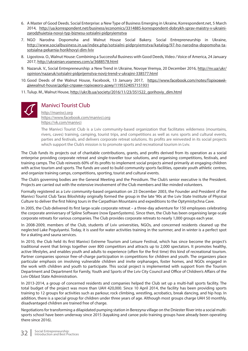- 6. A Master of Good Deeds. Social Enterprise: a New Type of Business Emerging in Ukraine, Korrespondent.net, 5 March 2014, http://ua.korrespondent.net/business/economics/3314885-korrespondent-dobrykh-sprav-maistry-v-ukrainizarodzhuietsia-novyi-typ-biznesu-sotsialni-pidpryiemstva
- 7. NGO Narodna Dopomoha and Walnut House Social Bakery. Social Entrepreneurship in Ukraine, http://www.socialbusiness.in.ua/index.php/sotsialni-pidpryiemstva/katalog/97-ho-narodna-dopomoha-tasotsialna-pekarnia-horikhovyi-dim-lviv
- 8. Ligostova. O., Walnut House: Combining a Successful Business with Good Deeds, Video / Voice of America, 24 January 2017, http://ukrainian.voanews.com/a/3688578.html
- 9. Nazaruk. V., Social Entrepreneurship: a New Trend in Ukraine, Novoye Vremya, 20 December 2016, http://nv.ua/ukr/ opinion/nazaruk/sotsialni-pidprijemstva-novij-trend-v-ukrajini-338577.html
- 10. Good Deeds of the Walnut House, Facebook, 13 January 2017, https://www.facebook.com/notes/Горіховийдімwalnut-house/добрі-справи-горіхового-дому/1195524057151931
- 11. Tulup. M., Walnut House, http://ukr.lb.ua/society/2016/11/23/351522\_gorihoviy\_dim.html



#### Manivci Tourist Club

http://manivci.org https://www.facebook.com/manivci.org https://vk.com/manivci

The Manivci Tourist Club is a Lviv community-based organization that facilitates wilderness (mountains, rivers, caves) training, camping, tourist trips, and competitions as well as runs sports and cultural events, parties and festivals, and delivers corporate retreat solutions. Its profits are reinvested in its social projects which support the Club's mission is to promote sports and recreational tourism in Lviv.

The Club funds its projects out of charitable contributions, grants, and profits derived from its operation as a social enterprise providing corporate retreat and single-traveller tour solutions, and organising competitions, festivals, and training camps. The Club reinvests 60% of its profits to implement social projects aimed primarily at engaging children with active tourism and sports. The funds are used to build community sports facilities, operate youth athletic centres, and organize training camps, competitions, sporting, tourist and cultural events.

The Club's governing bodies are the General Meeting and the Presidium. The Club's senior executive is the President. Projects are carried out with the extensive involvement of the Club members and like-minded volunteers.

Formally registered as a Lviv community-based organisation on 23 December 2003, the Founder and President of the Manivci Tourist Club Taras Biloshitsky originally formed the group in the late '90s at the Lviv State Institute of Physical Culture to deliver the first hiking tours in the Carpathian Mountains and expeditions to the Optymistychna Cave.

In 2005, the Club delivered its first large-scale corporate retreat – a three-day adventure for 150 employees celebrating the corporate anniversary of Spline Software (now EpamSystems). Since then, the Club has been organising large-scale corporate retreats for various companies. The Club provides corporate retreats to nearly 1,000 groups each year.

In 2008-2009, members of the Club, students of Lviv universities, NGOs, and concerned residents cleaned up the neglected Lake Pogulyantsi. Today, it is used for water activities training in the summer, and in winter is a perfect spot for a skating and sauna services.

In 2010, the Club held its first Manivci Extreme Tourism and Leisure Festival, which has since become the project's traditional event that brings together over 800 competitors and attracts up to 2,000 spectators. It promotes healthy, active lifestyles, and enables youth and adults to experience (often for the first time) this kind of recreational tourism. Partner companies sponsor free-of-charge participation in competitions for children and youth. The organizers place particular emphasis on involving vulnerable children and invite orphanages, foster homes, and NGOs engaged in the work with children and youth to participate. This social project is implemented with support from the Tourism Department and Department for Family, Youth and Sports of the Lviv City Council and Office of Children's Affairs of the Lviv Oblast State Administration.

In 2013-2014, a group of concerned residents and companies helped the Club set up a multi-hall sports facility. The total budget of the project was more than UAH 420,000. Since 10 April 2014, the facility has been providing sports training to 12 groups for activities such as parkour, rock climbing, wrestling, acrobatics, break dancing, and hip hop. In addition, there is a special group for children under three years of age. Although most groups charge UAH 50 monthly, disadvantaged children are trained free of charge.

Negotiations for transforming a dilapidated pumping station in Berezyna village on the Dniester River into a social multisports school have been underway since 2015 (kayaking and canoe polo training groups have already been operating there since 2016).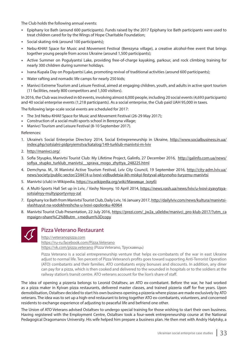The Club holds the following annual events:

- Epiphany Ice Bath (around 600 participants). Funds raised by the 2017 Epiphany Ice Bath participants were used to treat children cared for by the Wings of Hope Charitable Foundation;
- Social skating rink (around 100 participants);
- Nebu-KHAI! Space for Music and Movement Festival (Berezyna village), a creative alcohol-free event that brings together young people from across Ukraine (around 1,500 participants);
- Active Summer on Pogulyantsi Lake, providing free-of-charge kayaking, parkour, and rock climbing training for nearly 300 children during summer holidays.
- Ivana Kupala Day on Pogulyantsi Lake, promoting revival of traditional activities (around 600 participants);
- Water rafting and nomadic life camps for nearly 250 kids;
- Manivci Extreme Tourism and Leisure Festival, aimed at engaging children, youth, and adults in active sport tourism (11 facilities, nearly 800 competitors and 1,500 visitors).

In 2016, the Club was involved in 60 events, involving almost 6,000 people, including 20 social events (4,693 participants) and 40 social enterprise events (1,218 participants). As a social enterprise, the Club paid UAH 95,000 in taxes.

The following large-scale social events are scheduled for 2017:

- The 3rd Nebu-KHAI! Space for Music and Movement Festival (26-29 May 2017);
- Construction of a social multi-sports school in Berezyna village;
- Manivci Tourism and Leisure Festival (8-10 September 2017).

References:

- 1. Ukraine's Social Enterprise Directory 2014, Social Entrepreneurship in Ukraine, http://www.socialbusiness.in.ua/ index.php/sotsialni-pidpryiemstva/katalog/149-turklub-manivtsi-m-lviv
- 2. http://manivci.org/
- 3. Sofia Styupko, Manivtsi Tourist Club: My Lifetime Project, Galinfo, 27 December 2016, http://galinfo.com.ua/news/ sofiya\_stupko\_turklub\_manivtsi\_sprava\_mogo\_zhyttya\_248225.html
- 4. Demchyna. M., IX Manivtsi Active Tourism Festival, Lviv City Council, 19 September 2016, http://city-adm.lviv.ua/ news/society/public-sector/234414-u-lvovi-vidbudetsia-ikh-miskyi-festyval-aktyvnoho-turyzmu-manivtsi
- 5. Manivtsi (club) in Wikipedia, https://ru.wikipedia.org/wiki/Манивци\_(клуб)
- 6. A Multi-Sports Hall Set up in Lviv, / Vashy Novyny, 10 April 2014, https://news.vash.ua/news/lviv/u-lvovi-zyavytsyasotsialnyy-multysportyvnyy-zal
- 7. Epiphany Ice Bath from Manivtsi Tourist Club, Daily Lviv, 16 January 2017, http://dailylviv.com/news/kultura/manivtsivlashtuyut-na-vodokhreshcha-u-lvovi-opolonku-40964
- 8. Manivtsi Tourist Club Presentation, 22 July 2016, https://prezi.com/ jw2a\_u0eldw/manivci\_pro-klub-2017/?utm\_ca mpaign=share%C2%BButm\_+medium%3Dcopy



#### Pizza Veterano Restaurant

http://veteranopizza.com https://ru-ru.facebook.com/Pizza.Veterano https://vk.com/pizza.veterano (Pizza Veterano, Трускавець)

Pizza Veterano is a social entrepreneurship venture that helps ex-combatants of the war in east Ukraine adjust to normal life. Ten percent of Pizza Veterano's profits goes toward supporting Anti-Terrorist Operation (ATO) combatants and their families. ATO combatants enjoy bonuses and discounts. In addition, any diner can pay for a pizza, which is then cooked and delivered to the wounded in hospitals or to the soldiers at the railway station's transit centre. ATO veterans account for the lion's share of staff.

The idea of opening a pizzeria belongs to Leonid Ostaltsev, an ATO ex-combatant. Before the war, he had worked as a pizza maker in Kyivan pizza restaurants, delivered master classes, and trained pizzeria staff for five years. Upon demobilisation, Ostaltsev decided to start his own business opening a pizzeria where pizzas are made exclusively by ATO veterans. The idea was to set up a high-end restaurant to bring together ATO ex-combatants, volunteers, and concerned residents to exchange experience of adjusting to peaceful life and befriend one other.

The Union of ATO Veterans advised Ostaltsev to undergo special training for those wishing to start their own business. Having registered with the Employment Centre, Ostaltsev took a four-week entrepreneurship course at the National Pedagogical Dragomanov University. His wife helped him prepare a business plan. He then met with Andriy Halytsky, a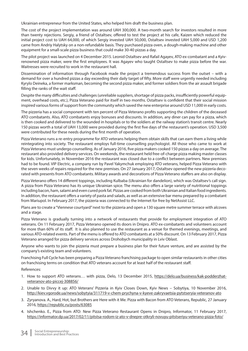Ukrainian entrepreneur from the United States, who helped him draft the business plan.

The cost of the project implementation was around UAH 300,000. A two-month search for investors resulted in more than twenty rejections. Sergiy, a friend of Ostaltsey, offered to test the project at his cafe, Kaizen which reduced the initial project cost to UAH 64,000, of which Sergiy invested UAH 50,000, Ostaltsev invested UAH 5,000 and USD 1,200 came from Andriy Halytsky on a non-refundable basis. They purchased pizza oven, a dough-making machine and other equipment for a small-scale pizza business that could make 30-40 pizzas a day.

The pilot project was launched on 4 December 2015. Leonid Ostaltsev and Rafail Agayev, ATO ex-combatant and a Kyivrenowned pizza maker, were the first employees. It was Agayev who taught Ostaltsev to make pizza before the war. Waitresses were recruited to work in the restaurant hall.

Dissemination of information through Facebook made the project a tremendous success from the outset – with a demand for over a hundred pizzas a day exceeding their daily target of fifty. More staff were urgently needed including Kyrylo Deineka, a former marksman, becoming the second pizza maker, and former soldiers from the air assault brigade filling the ranks of the wait staff.

Despite the many difficulties and challenges (unreliable suppliers, shortage of pizza packs, insufficiently powerful equipment, overhead costs, etc.), Pizza Veterano paid for itself in two months. Ostaltsev is confident that their social mission inspired various forms of support from the community which saved the new enterprise around USD 11,000 in early costs.

The pizzeria has a social component with ten percent of Pizza Veterano profits supporting the children of the deceased ATO combatants. Also, ATO combatants enjoy bonuses and discounts. In addition, any diner can pay for a pizza, which is then cooked and delivered to the wounded in hospitals or to the soldiers at the railway station's transit centre. Nearly 150 pizzas worth a total of UAH 13,000 were provided during the first five days of the restaurant's operation. USD 3,500 were contributed for these needs during the first month of operation.

Pizza Veterano runs a re-entry programme for ATO veterans helping them obtain skills that can earn them a living while reintegrating into society. The restaurant employs full-time counselling psychologist. All those who came to work at Pizza Veterano must undergo counselling. As of January 2016, five pizza makers cooked 150 pizzas a day on average. The restaurant also provided delivery services. On weekends, the restaurant held free-of-charge pizza making master classes for kids. Unfortunately, in November 2016 the restaurant was closed due to a conflict between partners. New premises had to be found. VIP Electric, a company run by Pavel Yakymchuk employing ATO veterans, helped Pizza Veterano with the seven weeks of repairs required for the new premises. On 27 January 2017, Ostaltsev opened the new pizzeria decorated with presents from ATO combatants. Military awards and decorations of Pizza Veterano staffers are also on display.

Pizza Veterano offers 14 different toppings, including Kulbaba (Ukrainian for dandelion), which was Ostaltsev's call sign. A pizza from Pizza Veterano has its unique Ukrainian spice. The menu also offers a large variety of nutritional toppings including bacon, ham, salami and even cured pork fat. Pizzas are cooked from both Ukrainian and Italian food ingredients. In addition, the restaurant offers a variety of pasta and salads, as well as an extensive bar menu prepared by a combatant from Mariupol. In February 2017, the pizzeria was connected to the Internet for free by NetAssist LLC.

Plans are to create a "Viennese courtyard" next to the pizzeria and open a 130 square metre summer terrace with alcoves and a stage.

Pizza Veterano is gradually turning into a network of restaurants that provide for employment integration of ATO veterans. On 11 February 2017, Pizza Veterano opened its doors in Dnipro. ATO ex-combatants and volunteers account for more than 60% of its staff. It is also planned to use the restaurant as a venue for themed evenings, meetings, and various ATO-related events. Part of the menu is offered to ATO combatants at a 50% discount. On 13 February 2017, Pizza Veterano arranged for pizza delivery services across Drohobych municipality in Lviv Oblast.

Anyone who wants to join the pizzeria must prepare a business plan for their future venture, and are assisted by the company's existing team and volunteers.

Franchising Full Cycle has been preparing a Pizza Veterano franchising package to open similar restaurants in other cities on franchising terms on condition that ATO veterans account for at least half of the restaurant staff .

References:

- 1. How to support ATO veterans... with pizza, Delo, 13 December 2015, https://delo.ua/business/kak-podderzhatveteranov-ato-piccej-308856/
- 2. Unable to Divvy it up: ATO Veterans' Pizzeria in Kyiv Closes Down, Kyiv News Sobytiya, 10 November 2016, http://kiev.vgorode.ua/news/sobytyia/311719-v-chem-prychyna-v-kyeve-zakryvaetsia-pytstseryia-veteranov-ato
- 3. Zyryanova. A., Hard, Hot, but Brothers are Here with it Me. Pizza with Bacon from ATO Veterans, Republic, 27 January 2016, https://republic.ru/posts/63085
- 4. Ishchenko. E., Pizza from ATO: New Pizza Veterano Restaurant Opens in Dnipro, Informator, 11 February 2017, https://informator.dp.ua/2017/02/11/pitstsa-rodom-iz-ato-v-dnepre-otkryli-novuyu-pitstseriyu-veterano-pizza-foto/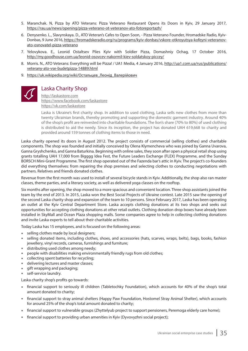- 5. Maranchak. N, Pizza by ATO Veterans: Pizza Veterano Restaurant Opens its Doors in Kyiv, 29 January 2017, https://rau.ua/news/opening/pizza-veterano-ot-veteranov-ato-fotoreportazh/
- 6. Denysenko. L., Slavynskaya. D., ATO Veteran's Cafes to Open Soon, Pizza Veterano Founder, Hromadske Radio, Kyiv-Donbas, 9 June 2016, https://hromadskeradio.org/ru/programs/kyiv-donbas/vskore-otkroyutsya-kofeyni-veteranovato-osnovatel-pizza-veterano
- 7. Yelovykova. E., Leonid Ostaltsev Plies Kyiv with Soldier Pizza, Domashniy Ochag, 17 October 2016, http://my.goodhouse.com.ua/leonid-osovcev-nakormil-kiev-soldatskoy-piccey/
- 8. Morris. N., ATO Veterans: Everything will be Pizza! / UA1 Media, 4 January 2016, http://ua1.com.ua/rus/publications/ veterany-ato-vse-budetpizza-14889.html
- 9. https://uk.wikipedia.org/wiki/Остальцев Леонід Валерійович



#### Laska Charity Shop

http://laskastore.com https://www.facebook.com/laskastore https://vk.com/laskastore

Laska is Ukraine's first charity shop. In addition to used clothing, Laska sells new clothes from more than twenty Ukrainian brands, thereby promoting and supporting the domestic garment industry. Around 40% of the shop's profi t are reinvested into charitable foundations. The lion's share (70% to 80%) of used clothing is distributed to aid the needy. Since its inception, the project has donated UAH 619,668 to charity and provided around 159 tonnes of clothing items to those in need.

Laska charity opened its doors in August 2012. The project consists of commercial (selling clothes) and charitable components. The shop was founded and initially conceived by Olena Klymencheva who was joined by Ganna Uvarova, Ganna Gryshchenko, and Ganna Baturkina. Beginning with online sales, they soon after open a physical retail shop using grants totalling UAH 17,000 from Bigggg Idea Fest, the Future Leaders Exchange (FLEX) Programme, and the Sunday BORSCH Mini-Grant Programme. The first shop operated out of the Fazenda bar's attic in Kyiv. The project's co-founders did everything themselves: from repairing the shop premises and selecting clothes to conducting negotiations with partners. Relatives and friends donated clothes.

Revenue from the first month was used to install of several bicycle stands in Kyiv. Additionally, the shop also ran master classes, theme parties, and a literary society, as well as delivered yoga classes on the rooftop.

Six months after opening, the shop moved to a more spacious and convenient location. Three shop assistants joined the team by the end of 2013. In 2015, Laska won the Best Social Projects of Ukraine contest. Late 2015 saw the opening of the second Laska charity shop and expansion of the team to 10 persons. Since February 2017, Laska has been operating an outlet at the Kyiv Central Department Store. Laska accepts clothing donations at its two shops and seeks out opportunities for accepting clothing donations at other retail outlets. Clothing donation drop boxes have already been installed in SkyMall and Ocean Plaza shopping malls. Some companies agree to help in collecting clothing donations and invite Laska experts to tell about their charitable activities.

Today Laska has 15 employees, and is focused on the following areas:

- **selling clothes made by local designers;**
- selling donated items, including clothes, shoes, and accessories (hats, scarves, wraps, belts), bags, books, fashion jewellery, vinyl records, cameras, furnishings and furniture;
- distributing used clothes among needy;
- people with disabilities making environmentally friendly rugs from old clothes;
- collecting spent batteries for recycling;
- delivering lectures and master classes;
- gift wrapping and packaging;
- **self-service laundry.**

Laska charity shop's profits go towards:

- financial support to seriously ill children (Tabletochky Foundation), which accounts for 40% of the shop's total amount donated to charity;
- financial support to stray animal shelters (Happy Paw Foundation, Hostomel Stray Animal Shelter), which accounts for around 25% of the shop's total amount donated to charity;
- fi nancial support to vulnerable groups (Zhyttelyub project to support pensioners, Peremoga elderly care home);
- financial support to providing urban amenities in Kyiv (Dyvovyzhni social project);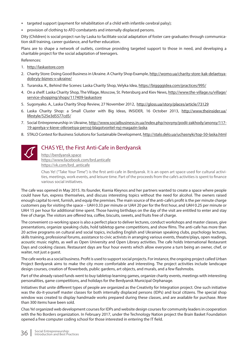- targeted support (payment for rehabilitation of a child with infantile cerebral palsy);
- provision of clothing to ATO combatants and internally displaced persons.

Dity (Children) is social project run by Laska to facilitate social adaptation of foster care graduates through communication skill training, career guidance, and further education.

Plans are to shape a network of outlets, continue providing targeted support to those in need, and developing a charitable project for the social adaptation of teenagers.

References:

- 1. http://laskastore.com
- 2. Charity Store: Doing Good Business in Ukraine. A Charity Shop Example, http://womo.ua/charity-store-kak-delaetsyadobryiy-biznes-v-ukraine/
- 3. Turanska. K., Behind the Scenes: Laska Charity Shop, Velyka Idea, https://biggggidea.com/practices/995/
- 4. On a shelf: Laska Charity Shop, The Village, Moscow, St. Petersburg and Kiev News, http://www.the-village.ru/village/ service-shopping/shops/117409-laskastore
- 5. Sugonyako. A., Laska Charity Shop Review, 27 November 2012, http://gloss.ua/story/places/article/73129
- 6. Laska Charity Shop: a Small Cluster with Big Ideas, INSIDER, 16 October 2013, http://www.theinsider.ua/ lifestyle/525e3d5577cd5/
- 7. Social Entrepreneurship in Ukraine, http://www.socialbusiness.in.ua/index.php/novyny/podii-zakhody/anonsy/117- 19-aprelya-v-kieve-otkroetsya-pervyj-blagotvoritel-nyj-magazin-laska
- 8. STALO Contest for Business Solutions for Sustainable Development, http://stalo.delo.ua/uchasnyki/top-50-laska.html



#### CHAS YE!, the First Anti-Cafe in Berdyansk

http://berdyansk.space https://www.facebook.com/brd.anticafe https://vk.com/brd\_anticafe

Chas Ye! ("Take Your Time") is the first anti-cafe in Berdyansk. It is an open art space used for cultural activities, meetings, work events, and leisure time. Part of the proceeds from the cafe's activities is spent to finance various social initiatives.

The cafe was opened in May 2015. Its founder, Ksenia Kleynos and her partners wanted to create a space where people could have fun, express themselves, and discuss interesting topics without the need for alcohol. The owners raised enough capital to rent, furnish, and equip the premises. The main source of the anti-cafe's profi t is the per minute charge customers pay for visiting the space – UAH 0.33 per minute or UAH 20 per for the first hour, and UAH 0.25 per minute or UAH 15 per hour for additional time spent. Those having birthdays on the day of the visit are entitled to enter and stay free of charge. The visitors are offered tea, coffee, biscuits, sweets, and fruits free of charge.

The convenient co-working space is also a perfect place to deliver lectures, conduct workshops and master classes, give presentations, organize speaking clubs, hold tabletop game competitions, and show films. The anti-cafe has more than 20 active programs on cultural and social topics, including English and Ukrainian speaking clubs, psychology lectures, skills training, professional forums, assistance to civic activists in arranging various events, theatre/plays, open readings, acoustic music nights, as well as Open University and Open Library activities. The cafe holds International Restaurant Days and cooking classes. Restaurant days are four hour events which allow everyone a turn being an owner, chef, or waiter, not just a guest.

The cafe works as a social business. Profit is used to support social projects. For instance, the ongoing project called Urban Project Berdyansk aims to make the city more comfortable and interesting. The project activities include landscape design courses, creation of flowerbeds, public gardens, art objects, and murals, and a few flashmobs.

Part of the already raised funds went to buy tabletop learning games, organize charity events, meetings with interesting personalities, game competitions, and holidays for the Berdyansk Municipal Orphanage.

Initiatives that unite different types of people are organized as the Creativity for Integration project. One such initiative was the do-it-yourself master classes for both internally displaced persons (IDPs) and local citizens. The special shop window was created to display handmade works prepared during these classes, and are available for purchase. More than 300 items have been sold.

Chas Ye! organized web development courses for IDPs and website design courses for community leaders in cooperation with the No Borders organization. In February 2017, under the Technology Nation project the Brain Basket Foundation opened a free computer coding school for those interested in entering the IT field.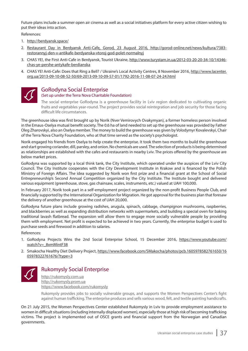Future plans include a summer open air cinema as well as a social initiatives platform for every active citizen wishing to put their ideas into action.

References:

- 1. http://berdyansk.space/
- 2. Restaurant Day in Berdyansk Anti-Cafe, Gorod, 23 August 2016, http://gorod-online.net/news/kultura/7383 restorannyj-den-v-antikafe-berdyanska-vtoroj-god-polet-normalnyj
- 3. CHAS YE!, the First Anti-Cafe in Berdyansk, Tourist Ukraine, http://www.turystam.in.ua/2012-03-20-20-34-10/14346 chas-ye-pershe-antykafe-berdianska
- 4. CHAS YE! Anti-Cafe: Does that Ring a Bell? / Ukraine's Local Activity Centres, 8 November 2016, http://www.lacenter. org.ua/2013-09-10-08-52-50/69-2013-09-10-09-57-01/1792-2016-11-08-07-24-24.html



#### GoRodyna Social Enterprise

#### (Set up under the Terra Nova Charitable Foundation)

The social enterprise GoRodyna is a greenhouse facility in Lviv region dedicated to cultivating organic fruits and vegetables year-round. The project provides social reintegration and job security for those facing difficult life circumstances.

The greenhouse idea was first brought up by Norik (Nver Vemirovych Ovakymyan), a former homeless person involved in the Emaus-Oselya mutual benefit society. The 0.6 ha of land needed to set up the greenhouse was provided by Father Oleg Zharovskyi, also an Oselya member. The money to build the greenhouse was given by Volodymyr Kovalevskyi, Chair of the Terra Nova Charity Foundation, who at that time served as the society's psychologist.

Norik engaged his friends from Oselya to help create the enterprise. It took them two months to build the greenhouse and start growing coriander, dill, parsley, and onion. No chemicals are used. The selection of products is being determined as relationships are established with the cafes and restaurants in nearby Lviv. The prices offered by the greenhouse are below market prices.

GoRodyna was supported by a local think tank, the City Institute, which operated under the auspices of the Lviv City Council. The City Institute cooperates with the City Development Institute in Krakow and is financed by the Polish Ministry of Foreign Affairs. The idea suggested by Norik won first prize and a financial grant at the School of Social Entrepreneurship's Second Annual Competition organized by the City Institute. The Institute bought and delivered various equipment (greenhouse, stove, gas chainsaw, scales, instruments, etc.) valued at UAH 100,000.

In February 2017, Norik took part in a self-employment project organized by the non-profit Business People Club, and financially supported by the International Organization for Migration. He got approval for the business plan that foresaw the delivery of another greenhouse at the cost of UAH 20,000.

GoRodyna future plans include growing radishes, arugula, spinach, cabbage, champignon mushrooms, raspberries, and blackberries as well as expanding distribution networks with supermarkets, and building a special oven for baking traditional lavash flatbread. The expansion will allow them to engage more socially vulnerable people by providing them with employment. Net profit is expected to be achieved in two years. Currently, the enterprise budget is used to purchase seeds and firewood in addition to salaries.

References:

- 1. GoRodyna Projects Wins the 2nd Social Enterprise School, 15 December 2016, https://www.youtube.com/ watch?v=\_8xmMintF38
- 2. Smakocha Healthy Diet Delivery Project, https://www.facebook.com/SMakocha/photos/pcb.1605978582761650/16 05978322761676/?type=3



#### Rukomysly Social Enterprise

http://rukomysly.com.ua http://rukomysly.prom.ua https://www.facebook.com/rukomysly

Rukomysly provides jobs to socially vulnerable groups, and supports the Women Perspectives Center's fight against human trafficking. The enterprise produces and sells various wood, felt, and textile painting handicrafts.

On 21 July 2015, the Women Perspectives Center established Rukomysly in Lviv to provide employment assistance to women in difficult situations (including internally displaced women), especially those at high risk of becoming trafficking victims. The project is implemented out of OSCE grants and financial support from the Norwegian and Canadian governments.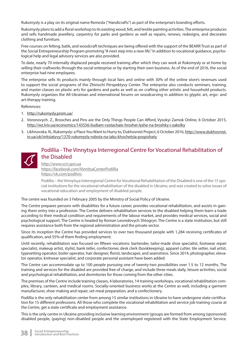Rukomysly is a play on its original name Remesla ("Handicrafts") as part of the enterprise's branding efforts.

Rukomysly plans to add a floral workshop to its existing wood, felt, and textile painting activities. The enterprise produces and sells handmade jewellery, carpentry for parks and gardens as well as repairs, renews, redesigns, and decorates clothing and furniture.

Free courses on felting, batik, and woodcraft techniques are being offered with the support of the BEARR Trust as part of the Social Entrepreneurship Program promoting "A next step into a new life." In addition to vocational guidance, psychological help and legal advisory services are also provided.

To date, nearly 70 internally displaced people received training after which they can work at Rukomysly or at home by selling their craftworks through the social enterprise or by starting their own business. As of the end of 2016, the social enterprise had nine employees.

The enterprise sells its products mainly through local fairs and online with 30% of the online store's revenues used to support the social programs of the Zhinochi Perspektyvy Center. The enterprise also conducts seminars, training, and master classes on plastic arts for gardens and parks as well as on crafting other artistic and household products. Rukomysly organizes the All-Ukrainian and international forums on woodcarving in addition to glyptic art, ergo- and art-therapy training.

References:

- 1. http://rukomysly.prom.ua/
- 2. Voronovych. Z., Brooches and Pins are the Only Things People Can Afford, Vysokyi Zamok Online, 6 October 2015, http://wz.lviv.ua/economics/143556-liudiam-vystachaie-hroshei-lyshe-na-broshky-i-zakolky
- 3. Likhnovska. N., Rukomysly: a Place You Want to Hurry to, Dukhovnist Project, 6 October 2016, http://www.dukhovnist. in.ua/uk/initsiatyvy/1370-rukomysly-robota-na-iaku-khochetsia-pospishaty



#### Podillia - The Vinnytsya Interregional Centre for Vocational Rehabilitation of the Disabled

http://www.vcri.gov.ua https://facebook.com/VinnitsaCenterPodillia https://vk.com/podilvrc

Podillia – the Vinnytsya Interregional Centre for Vocational Rehabilitation of the Disabled is one of the 15 special institutions for the vocational rehabilitation of the disabled in Ukraine, and was created to solve issues of vocational education and employment of disabled people.

#### The centre was founded on 3 February 2005 by the Ministry of Social Policy of Ukraine.

The Centre prepares persons with disabilities for a future career, provides vocational rehabilitation, and assists in gaining them entry into a profession. The Centre delivers rehabilitation services to the disabled helping them learn a trade according to their medical condition and requirements of the labour market, and provides medical services, social and psychological support. The Centre is headed by Roman Leonidovych Shtogryn. The Centre is a state institution, but still requires assistance both from the regional administration and the private sector.

Since its inception the Centre has provided services to over two thousand people with 1,284 receiving certificates of qualification, and 55% of them finding employment.

Until recently, rehabilitation was focused on fifteen vocations: bartender, tailor-made shoe specialist, footwear repair specialist, makeup artist, stylist, bank teller, confectioner, desk clerk (bookkeeping), apparel cutter, tile setter, nail artist, typesetting operator, boiler operator, hair designer, florist, landscaper, and seamstress. Since 2014, photographer, elevator operator, knitwear specialist, and corporate personal assistant have been added.

The Centre can accommodate up to 100 people pursuing one of twenty-two possibilities over 1.5 to 12 months. The training and services for the disabled are provided free of charge, and include three meals daily, leisure activities, social and psychological rehabilitation, and dormitories for those coming from the other cities.

The premises of the Centre include training classes, 4 laboratories, 14 training workshops, vocational rehabilitation complex, library, canteen, and medical rooms. Socially-oriented business works at the Centre as well, including a garment manufacturer, shoe-making and repair, set-meal preparation, and a confectionery.

Podillia is the only rehabilitation center from among 15 similar institutions in Ukraine to have undergone state certification for 15 different professions. All those who complete the vocational rehabilitation and service job training course at the Centre, get a state certificate and employment assistance.

This is the only centre in Ukraine providing inclusive learning environment (groups are formed from among (sponsored) disabled people, (paying) non-disabled people and the unemployed registered with the State Employment Service.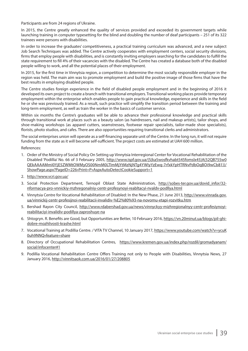Participants are from 24 regions of Ukraine.

In 2015, the Centre greatly enhanced the quality of services provided and exceeded its government targets while launching training in computer typesetting for the blind and doubling the number of deaf participants – 251 of its 322 trainees were persons with disabilities.

In order to increase the graduates' competitiveness, a practical training curriculum was advanced, and a new subject Job Search Techniques was added. The Centre actively cooperates with employment centers, social security divisions, firms that employ people with disabilities, and is constantly inviting employers searching for the candidates to fulfill the state requirement to fill 4% of their vacancies with the disabled. The Centre has created a database both of the disabled people willing to work, and all the potential places of their employment.

In 2015, for the first time in Vinnytsia region, a competition to determine the most socially responsible employer in the region was held. The main aim was to promote employment and build the positive image of those firms that have the best results in employing disabled people.

The Centre studies foreign experience in the field of disabled people employment and in the beginning of 2016 it developed its own project to create a branch with transitional employers. Transitional working places provide temporary employment within the enterprise which enables people to gain practical knowledge, experience and skills in the field he or she was previously trained. As a result, such practice will simplify the transition period between the training and long-term employment, as well as train the worker in the basics of customer service.

Within six months the Centre's graduates will be able to advance their professional knowledge and practical skills through transitional work at places such as a beauty salon (as hairdressers, nail and makeup artists), tailor shops, and shoe-making workshops (as apparel cutters, seamstresses, footwear repair specialists, tailor-made shoe specialists), florists, photo studios, and cafes. There are also opportunities requiring transitional clerks and administrators.

The social enterprises union will operate as a self-financing separate unit of the Centre. In the long run, it will not require funding from the state as it will become self-sufficient. The project costs are estimated at UAH 600 million.

References:

- 1. Order of the Ministry of Social Policy On Setting up Vinnytsia Interregional Center for Vocational Rehabilitation of the Disabled 'Podillia' No. 66 of 3 February 2005, http://www.ispf.gov.ua/(S(ka5wosfkvhabt545fomslx45)A(52QB755w0 QEkAAAAMmI0YjE5ZWMtOWMyOS00NmM0LTlmMjYtMzNjNTg4YWIyYzEwq-7rfxkYpHTRNvPdbOqBOi9wCb81))/ ShowPage.aspx?PageID=226»Print=P»AspxAutoDetectCookieSupport=1
- 2. http://www.vcri.gov.ua/
- 3. Social Protection Department, Ternopil Oblast State Administration, http://sobes-ter.gov.ua/dovid\_infor/32nformacya-pro-vnnickiy-mzhregonalniy-centr-profesynoyi-reabltacyi-nvaldv-podllya.html
- 4. Vinnytsia Centre for Vocational Rehabilitation of Disabled: In the New Phase, 21 June 2013, http://www.vinrada.gov. ua/vinnickij-centr-profesijnoi-reabilitacii-invalidiv-%E2%80%93-na-novomu-etapi-rozvitku.htm
- 5. Bershad Rayon City Council, http://www.rdabershad.gov.ua/news/vinnyckyy-mizhregionalnyy-centr-profesiynoyireabilitaciyi-invalidiv-podillya-zaproshuye-na
- 6. Shtogryn. R. Benefits are Good, but Opportunities are Better, 10 February 2016, https://vn.20minut.ua/blogs/pil-ghidobre-mozhlivosti-krashe.html
- 7. Vocational Training at Podillia Centre. / VITA TV Channel, 10 January 2017, https://www.youtube.com/watch?v=ycuK 0uh9NNQ»feature=share
- 8. Directory of Occupational Rehabilitation Centres, https://www.kremen.gov.ua/index.php/rozdil/gromadyanam/ social/infocenter#1
- 9. Podillia Vocational Rehabilitation Centre Offers Training not only to People with Disabilities, Vinnytsia News, 27 January 2016, http://vinnitsaok.com.ua/2016/01/27/208805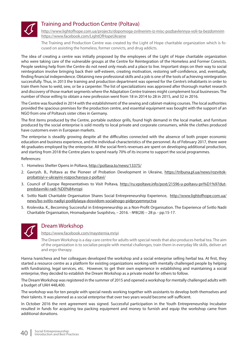

#### Training and Production Centre (Poltava)

http://www.lightofhope.com.ua/projects/dopomoga-zvilnenim-iz-misc-pozbavlennya-voli-ta-bezdomnim https://www.facebook.com/LightOfHopeUkraine

The Training and Production Centre was created by the Light of Hope charitable organization which is focused on assisting the homeless, former convicts, and drug addicts.

The idea of creating a centre was initially proposed by the employees of the Light of Hope charitable organization who were taking care of the vulnerable groups at the Centre for Reintegration of the Homeless and Former Convicts. People seeking help from the Centre do not need only meals and a place to live. Important steps on their way to social reintegration involve bringing back their self-esteem, creating motivation, restoring self-confidence, and, eventually, finding financial independence. Obtaining new professional skills and a job is one of the tools of achieving reintegration successfully. Thus, in 2013 the training and production department was opened for the Centre's inhabitants in order to train them how to weld, sew, or be a carpenter. The list of specializations was approved after thorough market research and discovery of those market segments where the Adaptation Centre trainees might complement local businesses. The number of those willing to obtain a new profession went from 18 in 2014 to 28 in 2015, and 32 in 2016.

The Centre was founded in 2014 with the establishment of the sewing and cabinet-making courses. The local authorities provided the spacious premises for the production centre, and essential equipment was bought with the support of an NGO from one of Poltava's sister cities in Germany.

The first items produced by the Centre, portable outdoor grills, found high demand in the local market, and furniture produced by the social enterprise is sold mostly to local private and corporate consumers, while the clothes produced have customers even in European markets.

The enterprise is steadily growing despite all the difficulties connected with the absence of both proper economic education and business experience, and the individual characteristics of the personnel. As of February 2017, there were 46 graduates employed by the enterprise. All the social firm's revenues are spent on developing additional production, and starting from 2018 the Centre plans to spend nearly 70% of its income to support the social programmes.

References:

- 1. Homeless Shelter Opens in Poltava, http://poltava.to/news/13375/
- 2. Gavrysh. B., Poltava as the Pioneer of Probation Development in Ukraine, https://tribuna.pl.ua/news/rozvitokprobatsiyi-v-ukrayini-rozpochavsya-z-poltavi/
- 3. Council of Europe Representatives to Visit Poltava, http://ru.vpoltave.info/post/21596-u-poltavu-pri%D1%97dutpredstavniki-radi-%D0%84vropi
- 4. Svitlo Nadii Charitable Organisation Shares Social Entrepreneurship Experience, http://www.lightofhope.com.ua/ news/bo-svitlo-nadiyi-podilylasya-dosvidom-socialnogo-pidpryyemnyctva
- 5. Krolevska. K., Becoming Successful in Entrepreneurship as a Non-Profi t Organisation. The Experience of Svitlo Nadii Charitable Organisation, Hromadyanske Suspilstvo, – 2016. - №8(28) – 28 p. - pp.15-17.



#### Dream Workshop

https://www.facebook.com/maysternia.mriyi

The Dream Workshop is a day-care centre for adults with special needs that also produces herbal tea. The aim of the organization is to socialize people with mental challenges, train them in everyday life skills, deliver art and ergo-therapy.

Hanna Ivanicheva and her colleagues developed the workshop and a social enterprise selling herbal tea. At first, they started a resource centre as a platform for existing organizations working with mentally challenged people by helping with fundraising, legal services, etc. However, to get their own experience in establishing and maintaining a social enterprise, they decided to establish the Dream Workshop as a private model for others to follow.

The Dream Workshop was registered in the summer of 2015 and opened a workshop for mentally challenged adults with a budget of UAH 448,400.

The workshop was for ten people with special needs working together with assistants to develop both themselves and their talents. It was planned as a social enterprise that over two years would become self-sufficient.

In October 2016 the rent agreement was signed. Successful participation in the Youth Entrepreneurship Incubator resulted in funds for acquiring tea packing equipment and money to furnish and equip the workshop came from additional donations.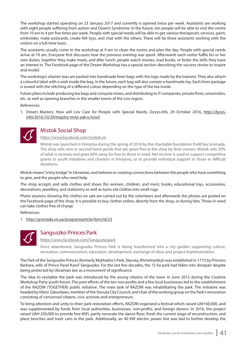The workshop started operating on 23 January 2017 and currently is opened twice per week. Assistants are working with eight people suffering from autism and Down's Syndrome. In the future, ten people will be able to visit the centre from 10 am to 4 pm five times per week. People with special needs will be able to get various therapeutic services, paint, embroider, make postcards, create felt toys, and chat with the others. There will be three assistants working with the visitors on a full-time basis.

The assistants usually come to the workshop at 9 am to clean the rooms and plan the day. People with special needs arrive at 10 am. Everyone first discusses how the previous evening was spent. Afterwards each visitor fulfils his or her own duties, together they make meals, and after lunch, people watch movies, read books, or foster the skills they have an interest in. The Facebook page of the Dream Workshop has a special section describing the success stories to inspire and model.

The workshop's vitamin teas are packed into handmade linen bags with the logo made by the trainees. They also attach a colourful label with a wish inside the bag. In the future, each bag will also contain a handmade toy. Each linen package is sewed with the stitching of a different colour depending on the type of the tea inside.

Future plans include producing tea bags and compote mixes, and distributing to IT companies, private firms, universities, etc. as well as opening branches in the smaller towns of the Lviv region.

References:

1. Dream Masters: How will Lviv Care for People with Special Needs, Dyvys.info, 29 October 2016, http://dyvys. info/2016/10/29/majstry-mriyi-yak-u-lvovi/



#### Mistok Social Shop

https://www.facebook.com/mistok.vn

Mistok was launched in Vinnytsia during the spring of 2016 by the charitable foundation Podil'ska Gromada. The shop sells new or second-hand goods that are given free to the shop by their owners. Mistok sells 20% of what is receives and gives 80% away for free to those in need. Net income is used to support competitive grants to youth initiatives and charities in Vinnytsia, or to provide individual support to those in difficult situations.

Mistok means "a tiny bridge" in Ukrainian, and believes in creating connections between the people who have something to give, and the people who need help.

The shop accepts and sells clothes and shoes (for women, children, and men), books, educational toys, accessories, decorations, jewellery, and stationery as well as turns old clothes into small rugs.

Photo sessions showing the clothes on sale are carried out by the volunteers and afterwards the photos are posted on the Facebook page of the shop. It is possible to buy clothes online, directly from the shop, or during fairs. Those in need can take clothes free of charge.

References:

1. http://gromada.vn.ua/programsarticle/item/id/23



#### Sanguszko Princes Park

https://www.facebook.com/Sanguszkopark

Once abandoned, Sanguszko Princes Park is being transformed into a city garden supporting culture, recreation, communication, education, development, exchange of ideas and project implementation.

The Park of the Sanguszko Princes (formerly Mykhailov's Park, Slavuta, Khmelnytskyi) was established in 1772 by Princess Barbara, wife of Prince Pavel Karol' Sanguszko. For the last few decades, the 15 ha park had fallen into disrepair despite being protected by Ukrainian law as a monument of significance.

The idea to revitalize the park was introduced by the young citizens of the town in June 2015 during the Creative Workshop Party youth forum. The joint efforts of the ten non-profits and a few local businesses led to the establishment of the RAZOM (TOGETHER) public initiative. The main task of RAZOM was rehabilitating the park. The initiative was headed by Viktor Zakurdaiev, member of the Slavuta City Council, and chair of the working group on the Park's renovation consisting of concerned citizens, civic activists and entrepreneurs.

To bring attention and unity to their park restoration efforts, RAZOM organized a festival which raised UAH 60,000, and was supplemented by funds from local authorities, businesses, non-profits, and foreign donors. In 2016, the project raised UAH 250,000 to provide free WiFi, partly renovate the dance floor, finish the current stage of reconstruction, and place benches and trash cans in the park. Additionally, an 40 KW electric power line was laid to further develop the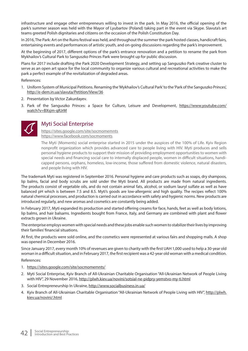infrastructure and engage other entrepreneurs willing to invest in the park. In May 2016, the official opening of the park's summer season was held with the Mayor of Lyubartov (Poland) taking part in the event via Skype. Slavuta's art teams greeted Polish dignitaries and citizens on the occasion of the Polish Constitution Day.

In 2016, The Park: Art on the Ruins festival was held, and throughout the summer the park hosted classes, handicraft fairs, entertaining events and performances of artistic youth, and on-going discussions regarding the park's improvement.

At the beginning of 2017, different options of the park's entrance renovation and a petition to rename the park from Mykhailov's Cultural Park to Sanguszko Princes Park were brought up for public discussion.

Plans for 2017 include drafting the Park 2020 Development Strategy, and setting up Sanguszko Park creative cluster to serve as an open art space for the local community to organize various cultural and recreational activities to make the park a perfect example of the revitalization of degraded areas.

References:

- 1. Uniform System of Municipal Petitions. Renaming the 'Mykhailov's Cultural Park' to the 'Park of the Sanguszko Princes', http://e-dem.in.ua/slavuta/Petition/View/36
- 2. Presentation by Victor Zakurdayev.
- 3. Park of the Sanguszko Princes: a Space for Culture, Leisure and Development, https://www.youtube.com/ watch?v=BXsjm-qRJrM



#### Myti Social Enterprise

https://sites.google.com/site/socmomemnts https://www.facebook.com/socmoments

The Myti (Moments) social enterprise started in 2015 under the auspices of the 100% of Life. Kyiv Region nonprofit organization which provides advanced care to people living with HIV. Myti produces and sells personal hygiene products to support their mission of providing employment opportunities to women with special needs and financing social care to internally displaced people, women in difficult situations, handicapped persons, orphans, homeless, low-income, those suffered from domestic violence, natural disasters, and people living with HIV.

The trademark Myti was registered in September 2016. Personal hygiene and care products such as soaps, dry shampoos, lip balms, facial and body scrubs are sold under the Myti brand. All products are made from natural ingredients. The products consist of vegetable oils, and do not contain animal fats, alcohol, or sodium lauryl sulfate as well as have balanced pH which is between 7.5 and 8.5. Myti's goods are low-allergenic and high quality. The recipes reflect 100% natural chemical processes, and production is carried out in accordance with safety and hygienic norms. New products are introduced regularly, and new aromas and cosmetics are constantly being added.

In February 2017, Myti expanded its production and started offering creams for face, hands, feet as well as body lotions, lip balms, and hair balsams. Ingredients bought from France, Italy, and Germany are combined with plant and flower extracts grown in Ukraine.

The enterprise employs women with special needs and these jobs enable such women to stabilize their lives by improving their families' financial situations.

At first, the products were sold online, and the cosmetics were represented at various fairs and shopping malls. A shop was opened in December 2016.

Since January 2017, every month 10% of revenues are given to charity with the first UAH 1,000 used to help a 30-year old woman in a difficult situation, and in February 2017, the first recipient was a 42-year old woman with a medical condition.

References:

- 1. https://sites.google.com/site/socmomemnts/
- 2. Myti Social Enterprise, Kyiv Branch of All-Ukrainian Charitable Organisation "All-Ukrainian Network of People Living with HIV", 29 November 2016, http://plwh.kiev.ua/novini/sotsial-ne-pidpry-yemstvo-my-ti.html
- 3. Social Entrepreneurship In Ukraine, http://www.socialbusiness.in.ua/
- 4. Kyiv Branch of All-Ukrainian Charitable Organisation "All-Ukrainian Network of People Living with HIV", http://plwh. kiev.ua/novini/.html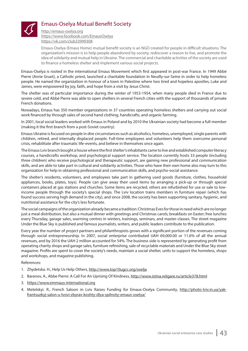

#### **Emaus-Oselya Mutual Benefit Society**

http://emaus-oselya.org https://www.facebook.com/EmausOselya https://vk.com/club33999308

Emaus-Oselya (Emaus Home) mutual benefit society is an NGO created for people in difficult situations. The organization's mission is to help people abandoned by society, rediscover a reason to live, and promote the idea of solidarity and mutual help in Ukraine. The commercial and charitable activities of the society are used to finance a homeless shelter and implement various social projects.

Emaus-Oselya is rooted in the international Emaus Movement which first appeared in post-war France. In 1949 Abbé Pierre (Anrie Gruet), a Catholic priest, launched a charitable foundation in Neuilly-sur-Seine in order to help homeless people. He named the organization in honour of a town in Palestine where two tired and hopeless apostles, Luke and James, were empowered by joy, faith, and hope from a visit by Jesus Christ.

The shelter was of particular importance during the winter of 1953-1954, when many people died in France due to severe cold, and Abbé Pierre was able to open shelters in several French cities with the support of thousands of private French donations.

Nowadays, Emaus has 350 member organizations in 37 countries operating homeless shelters and carrying out social work financed by through sales of second hand clothing, handicrafts, and organic farming.

In 2001, local social leaders worked with Emaus in Poland and by 2010 the Ukrainian society had become a full-member (making it the first branch from a post-Soviet country).

Emaus Ukraine is focused on people in dire circumstances such as alcoholics, homeless, unemployed, single parents with children, retired, and internally displaced people. Full-time employees and volunteers help them overcome personal crisis, rehabilitate after traumatic life-events, and believe in themselves once again.

The Emaus Lviv branch bought a house where the first shelter's inhabitants came to live and established computer literacy courses, a handicrafts workshop, and psychological support service. The location currently hosts 33 people (including three children) who receive psychological and therapeutic support, are gaining new professional and communication skills, and are able to take part in cultural and solidarity activities. Those who have their own home also may turn to this organization for help in obtaining professional and communication skills, and psycho-social assistance.

The shelter's residents, volunteers, and employees take part in gathering used goods (furniture, clothes, household appliances, books, plates, toys). People can give away their used items by arranging a pick-up or through special containers placed at gas stations and churches. Some items are recycled, others are refurbished for use or sale to lowincome people through the society's special shops. The Lviv location trains members in furniture repair (which has found success serving high demand in the city), and since 2008, the society has been supporting sanitary, hygienic, and nutritional assistance for the city's less fortunate.

The social campaigns of the organization already became a tradition: Christmas Eves for those in need which are no longer just a meal distribution, but also a mutual dinner with greetings and Christmas carols; breakfasts on Easter; free lunches every Thursday, garage sales, warming centres in winters, trainings, seminars, and master-classes. The street magazine Under the Blue Sky is published and famous journalists, writers, and public leaders contribute to the publication.

Every year the number of project partners and philanthropists grows with a significant portion of the revenues coming through social entrepreneurship. In 2007, social enterprise contributed UAH 69,000.00 or 11.6% of all the annual revenues, and by 2016 the UAH 2 million accounted for 54%. The business side is represented by generating profit from operating charity shops and garage sales, furniture refinishing, sale of recyclable materials and Under the Blue Sky street magazine. Profits are spent to cover the society's needs, maintain a social shelter, units to support the homeless, shops and workshops, and magazine publishing.

References:

- 1. Zhydetska. H., Help Us Help Others, http://www.top10ugcc.org/oselja
- 2. Baranov, A., Abbe Pierre: A Call For An Uprising Of Kindness, http://www.istina.religare.ru/article378.html
- 3. https://www.emmaus-international.org
- 4. Metelskyi. R., French Saloon in Lviv Raises Funding for Emaus-Oselya Community, http://photo-lviv.in.ua/yakfrantsuzkyj-salon-u-lvovi-zbyrav-koshty-dlya-spilnoty-emaus-oselya/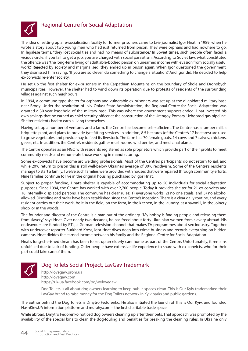

#### Regional Centre for Social Adaptation

The idea of setting up a re-socialisation facility for former prisoners came to Lviv journalist Igor Hnat in 1989, when he wrote a story about two young men who had just returned from prison. They were orphans and had nowhere to go. In legalese terms, "they lost social ties and had no means of subsistence." In Soviet times, such people often faced a vicious circle: if you fail to get a job, you are charged with social parasitism. According to Soviet law, what constituted the offence was "the long-term living of adult able-bodied person on unearned income with evasion from socially useful work." Rejected by society and marginalised, they ended up in prison again. When Igor questioned the government, they dismissed him saying, "If you are so clever, do something to change a situation." And Igor did. He decided to help ex-convicts re-enter society.

He set up the first shelter for ex-prisoners in the Carpathian Mountains on the boundary of Skole and Drohobych municipalities. However, the shelter had to wind down its operation due to protests of residents of the surrounding villages against such neighbours.

In 1994, a commune-type shelter for orphans and vulnerable ex-prisoners was set up at the dilapidated military base near Brody. Under the resolution of Lviv Oblast State Administration, the Regional Centre for Social Adaptation was granted a 30-year leasehold of the military base. This was where the government support ended. Hnat invested his own savings that he earned as chief security officer at the construction of the Urengoy-Pomary-Uzhgorod gas pipeline. Shelter residents had to earn a living themselves.

Having set up a number of ventures and a farm, the Centre has become self-sufficient. The Centre has a lumber mill, a briquette plant, and plans to provide tyre fitting services. In addition, 8.5 hectares (of the Centre's 17 hectares) are used to grow vegetables and provide hay to feed its livestock. The farm has 70 female goats, 14 cows and 7 calves, chickens, geese, etc. In addition, the Centre's residents gather mushrooms, wild berries, and medicinal plants.

The Centre operates as an NGO with residents registered as sole proprietors which provide part of their profits to meet community needs and remunerate those working in manufacturing.

Some ex-convicts have become arc welding professionals. Most of the Centre's participants do not return to jail, and while 20% return to prison this is still well-below Ukraine's average of 80% recidivism. Some of the Centre's residents manage to start a family. Twelve such families were provided with houses that were repaired through community efforts. Nine families continue to live in the original housing purchased by Igor Hnat.

Subject to proper funding, Hnat's shelter is capable of accommodating up to 50 individuals for social adaptation purposes. Since 1994, the Centre has worked with over 2,700 people. Today it provides shelter for 21 ex-convicts and 18 internally displaced persons. The commune has clear rules: 1) everyone works, 2) no one steals, and 3) no alcohol allowed. Discipline and order have been established since the Centre's inception. There is a clear daily routine, and every resident carries out their work, be it in the field, on the farm, in the kitchen, in the laundry, at a sawmill, in the joinery shop, or in the woods.

The founder and director of the Centre is a man out of the ordinary. "My hobby is finding people and releasing them from slavery," says Hnat. Over nearly two decades, he has freed about forty Ukrainian women from slavery abroad. His endeavours are funded by RTL, a German television channel that makes TV programmes about sex industry. Together with undercover reporter Burkhard Kress, Igor Hnat dives deep into crime business and records everything on hidden cameras. Hnat divides the earned income between his family and the Regional Centre for Social Adaptation.

Hnat's long-cherished dream has been to set up an elderly care home as part of the Centre. Unfortunately, it remains unfulfilled due to lack of funding. Older people have extensive life experience to share with ex-convicts, who for their part could take care of them.



#### Dog Toilets Social Project, LavGav Trademark

http://lovegaw.prom.ua http://lovegaw.com https://uk-ua.facebook.com/pg/welovegaw

Dog Toilets is all about dog owners learning to keep public spaces clean. This is Our Kyiv trademarked their LavGav brand to raise money for the Dog Toilets network in Kyiv parks and public gardens.

The author behind the Dog Toilets is Dmytro Fedorenko. He also initiated the launch of This is Our Kyiv, and founded NashKiev.UA information platform and murahy.com – the first charitable trade space.

While abroad, Dmytro Fedorenko noticed dog owners cleaning up after their pets. That approach was promoted by the availability of the special bins to clean the dog-fouling and penalties for breaking the cleaning rules. In Ukraine only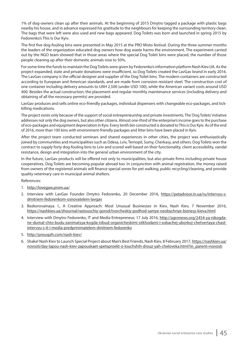1% of dog-owners clean up after their animals. At the beginning of 2015 Dmytro tagged a package with plastic bags nearby his house, and in advance expressed his gratitude to the neighbours for keeping the surrounding territory clean. The bags that were left were also used and new bags appeared. Dog Toilets was born and launched in spring 2015 by Fedorenko's This Is Our Kyiv.

The first five dog-fouling bins were presented in May 2015 at the PRO Misto festival. During the three summer months the leaders of the organization educated dog owners how dog waste harms the environment. The experiment carried out by the NGO team showed that in those areas where the special Dog Toilet bins were placed, the number of those people cleaning up after their domestic animals rose to 50%.

For some time the funds to maintain the Dog Toilets were given by Fedorenko's information platform Nash Kiev.UA. As the project expanded, state and private donations were insufficient, so Dog Toilets created the LavGav brand in early 2016. The LavGav company is the official designer and supplier of the Dog Toilet bins. The modern containers are constructed according to European and American standards, and are made from corrosion resistant steel. The construction cost of one container including delivery amounts to UAH 2,500 (under USD 100), while the American variant costs around USD 400. Besides the actual construction, the placement and regular monthly maintenance services (including delivery and obtaining of all the necessary permits) are provided.

LavGav produces and sells online eco-friendly packages, individual dispensers with changeable eco-packages, and tickkilling medications.

The project exists only because of the support of social entrepreneurship and private investments. The 'Dog Toilets' initiative addresses not only the dog owners, but also other citizens. Almost one-third of the enterprise's income goes to the purchase of eco-packages and equipment depreciation in Kyiv. Every tenth bin constructed is donated to This is Our Kyiv. As of the end of 2016, more than 100 bins with environment-friendly packages and litter bins have been placed in Kyiv.

After the project team conducted seminars and shared experiences in other cities, the project was enthusiastically joined by communities and municipalities such as Odesa, Lviv, Ternopil, Sumy, Cherkasy, and others. Dog Toilets won the contract to supply forty dog-fouling bins to Lviv and scored well based on their functionality, client accessibility, vandal resistance, design and integration into the general urban environment of the city.

In the future, LavGav products will be offered not only to municipalities, but also private firms including private house cooperatives. Dog Toilets are becoming popular abroad too. In conjunction with animal registration, the money raised from owners of the registered animals will finance special zones for pet walking, public recycling/cleaning, and provide quality veterinary care in municipal animal shelters.

References:

- 1. http://lovegaw.prom.ua/
- 2. Interview with LavGav Founder Dmytro Fedorenko, 20 December 2016, https://petadvisor.in.ua/ru/intervyu-sdmitriem-fedorenkom-osnovatelem-lavgav
- 3. Bezkorovainaya. I., A Creative Approach: Most Unusual Businesses in Kiev, Nash Kiev, 7 November 2016, https://nashkiev.ua/zhournal/rastouschiy-gorod/tvorcheskiy-podhod-samye-neobychnye-biznesy-kieva.html
- 4. Interview with Dmytro Fedorenko, IT and Media Entrepreneur, 17 July 2016, http://agronews.org/2454-ya-nikogdane-dumal-chto-budu-zanimatsya-kogda-nibud-organicheskimi-otkhodami-i-sobachej-uborkoj-chetvertaya-chastintervyu-s-it-i-media-predprinimatelem-dmitriem-fedorenko
- 5. http://prouspih.com/nash-kiev/
- 6. Shake! Nash Kiev to Launch Special Project about Man's Best Friends, Nash Kiev, 8 February 2017, https://nashkiev.ua/ novosti/day-lapou-nash-kiev-zapouskaet-spetsproekt-o-louchshih-drouz-yah-cheloveka.html?in\_parent=novosti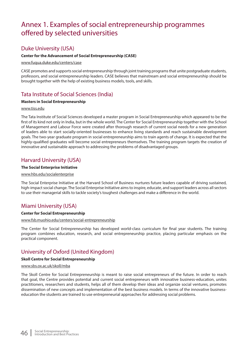#### Annex 1. Examples of social entrepreneurship programmes offered by selected universities

#### Duke University (USA)

#### **Center for the Advancement of Social Entrepreneurship (CASE)**

#### www.fuqua.duke.edu/centers/case

CASE promotes and supports social entrepreneurship through joint training programs that unite postgraduate students, professors, and social entrepreneurship leaders. CASE believes that mainstream and social entrepreneurship should be brought together with the help of existing business models, tools, and skills.

#### Tata Institute of Social Sciences (India)

#### **Masters in Social Entrepreneurship**

#### www.tiss.edu

The Tata Institute of Social Sciences developed a master program in Social Entrepreneurship which appeared to be the first of its kind not only in India, but in the whole world. The Center for Social Entrepreneurship together with the School of Management and Labour Force were created after thorough research of current social needs for a new generation of leaders able to start socially-oriented businesses to enhance living standards and reach sustainable development goals. The two-year graduate program in social entrepreneurship aims to train agents of change. It is expected that the highly-qualified graduates will become social entrepreneurs themselves. The training program targets the creation of innovative and sustainable approach to addressing the problems of disadvantaged groups.

#### Harvard University (USA)

#### **The Social Enterprise Initiative**

#### www.hbs.edu/socialenterprise

The Social Enterprise Initiative at the Harvard School of Business nurtures future leaders capable of driving sustained, high-impact social change. The Social Enterprise Initiative aims to inspire, educate, and support leaders across all sectors to use their managerial skills to tackle society's toughest challenges and make a difference in the world.

#### Miami University (USA)

#### **Center for Social Entrepreneurship**

#### www.fsb.muohio.edu/centers/social-entrepreneurship

The Center for Social Entrepreneurship has developed world-class curriculum for final year students. The training program combines education, research, and social entrepreneurship practice, placing particular emphasis on the practical component.

#### University of Oxford (United Kingdom)

#### **Skoll Centre for Social Entrepreneurship**

#### www.sbs.ox.ac.uk/skoll/mba

The Skoll Centre for Social Entrepreneurship is meant to raise social entrepreneurs of the future. In order to reach that goal, the Centre provides potential and current social entrepreneurs with innovative business-education, unites practitioners, researchers and students, helps all of them develop their ideas and organize social ventures, promotes dissemination of new concepts and implementation of the best business models. In terms of the innovative businesseducation the students are trained to use entrepreneurial approaches for addressing social problems.